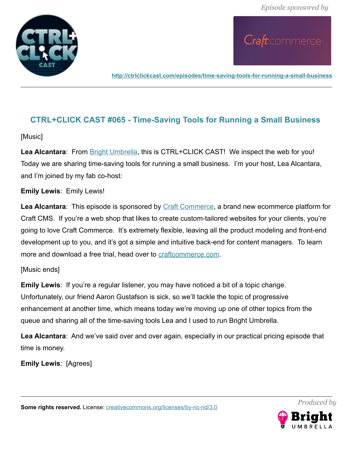



**<http://ctrlclickcast.com/episodes/time-saving-tools-for-running-a-small-business>**

# **CTRL+CLICK CAST #065 - Time-Saving Tools for Running a Small Business**

[Music]

Lea Alcantara: From **Bright Umbrella**, this is CTRL+CLICK CAST! We inspect the web for you! Today we are sharing time-saving tools for running a small business. I'm your host, Lea Alcantara, and I'm joined by my fab co-host:

### **Emily Lewis**: Emily Lewis!

**Lea Alcantara**: This episode is sponsored by [Craft Commerce,](https://craftcommerce.com/) a brand new ecommerce platform for Craft CMS. If you're a web shop that likes to create custom-tailored websites for your clients, you're going to love Craft Commerce. It's extremely flexible, leaving all the product modeling and front-end development up to you, and it's got a simple and intuitive back-end for content managers. To learn more and download a free trial, head over to [craftcommerce.com.](http://craftcommerce.com/)

### [Music ends]

**Emily Lewis**: If you're a regular listener, you may have noticed a bit of a topic change. Unfortunately, our friend Aaron Gustafson is sick, so we'll tackle the topic of progressive enhancement at another time, which means today we're moving up one of other topics from the queue and sharing all of the time-saving tools Lea and I used to run Bright Umbrella.

**Lea Alcantara**: And we've said over and over again, especially in our practical pricing episode that time is money.

**Emily Lewis**: [Agrees]

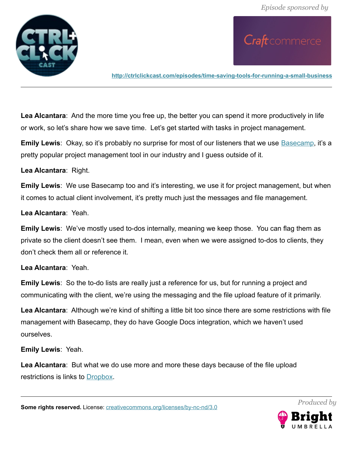

**<http://ctrlclickcast.com/episodes/time-saving-tools-for-running-a-small-business>**

**Lea Alcantara**: And the more time you free up, the better you can spend it more productively in life or work, so let's share how we save time. Let's get started with tasks in project management.

**Emily Lewis**: Okay, so it's probably no surprise for most of our listeners that we use [Basecamp,](https://basecamp.com/) it's a pretty popular project management tool in our industry and I guess outside of it.

**Lea Alcantara**: Right.

**Emily Lewis**: We use Basecamp too and it's interesting, we use it for project management, but when it comes to actual client involvement, it's pretty much just the messages and file management.

**Lea Alcantara**: Yeah.

**Emily Lewis**: We've mostly used to-dos internally, meaning we keep those. You can flag them as private so the client doesn't see them. I mean, even when we were assigned to-dos to clients, they don't check them all or reference it.

**Lea Alcantara**: Yeah.

**Emily Lewis**: So the to-do lists are really just a reference for us, but for running a project and communicating with the client, we're using the messaging and the file upload feature of it primarily.

**Lea Alcantara**: Although we're kind of shifting a little bit too since there are some restrictions with file management with Basecamp, they do have Google Docs integration, which we haven't used ourselves.

**Emily Lewis**: Yeah.

**Lea Alcantara**: But what we do use more and more these days because of the file upload restrictions is links to **Dropbox**.

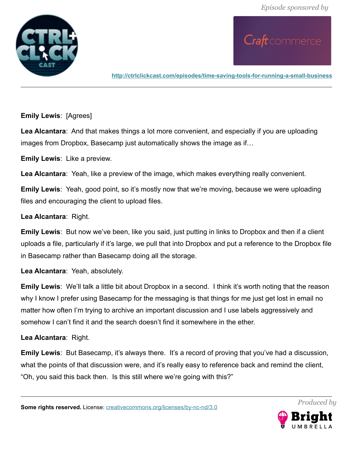

**<http://ctrlclickcast.com/episodes/time-saving-tools-for-running-a-small-business>**

#### **Emily Lewis**: [Agrees]

**Lea Alcantara**: And that makes things a lot more convenient, and especially if you are uploading images from Dropbox, Basecamp just automatically shows the image as if…

**Emily Lewis**: Like a preview.

**Lea Alcantara**: Yeah, like a preview of the image, which makes everything really convenient.

**Emily Lewis**: Yeah, good point, so it's mostly now that we're moving, because we were uploading files and encouraging the client to upload files.

#### **Lea Alcantara**: Right.

**Emily Lewis**: But now we've been, like you said, just putting in links to Dropbox and then if a client uploads a file, particularly if it's large, we pull that into Dropbox and put a reference to the Dropbox file in Basecamp rather than Basecamp doing all the storage.

**Lea Alcantara**: Yeah, absolutely.

**Emily Lewis**: We'll talk a little bit about Dropbox in a second. I think it's worth noting that the reason why I know I prefer using Basecamp for the messaging is that things for me just get lost in email no matter how often I'm trying to archive an important discussion and I use labels aggressively and somehow I can't find it and the search doesn't find it somewhere in the ether.

### **Lea Alcantara**: Right.

**Emily Lewis**: But Basecamp, it's always there. It's a record of proving that you've had a discussion, what the points of that discussion were, and it's really easy to reference back and remind the client, "Oh, you said this back then. Is this still where we're going with this?"

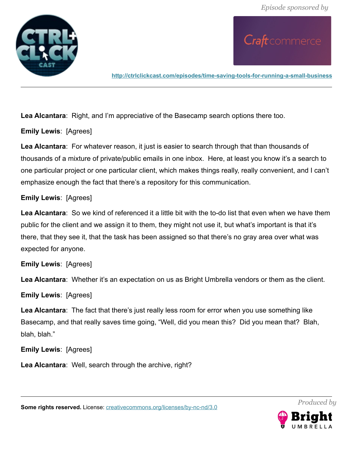

**<http://ctrlclickcast.com/episodes/time-saving-tools-for-running-a-small-business>**

**Lea Alcantara**: Right, and I'm appreciative of the Basecamp search options there too.

**Emily Lewis**: [Agrees]

**Lea Alcantara**: For whatever reason, it just is easier to search through that than thousands of thousands of a mixture of private/public emails in one inbox. Here, at least you know it's a search to one particular project or one particular client, which makes things really, really convenient, and I can't emphasize enough the fact that there's a repository for this communication.

## **Emily Lewis**: [Agrees]

**Lea Alcantara**: So we kind of referenced it a little bit with the to-do list that even when we have them public for the client and we assign it to them, they might not use it, but what's important is that it's there, that they see it, that the task has been assigned so that there's no gray area over what was expected for anyone.

**Emily Lewis**: [Agrees]

**Lea Alcantara**: Whether it's an expectation on us as Bright Umbrella vendors or them as the client.

**Emily Lewis**: [Agrees]

**Lea Alcantara**: The fact that there's just really less room for error when you use something like Basecamp, and that really saves time going, "Well, did you mean this? Did you mean that? Blah, blah, blah."

**Emily Lewis**: [Agrees]

**Lea Alcantara**: Well, search through the archive, right?

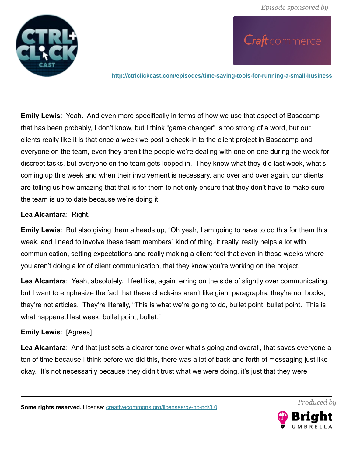

**<http://ctrlclickcast.com/episodes/time-saving-tools-for-running-a-small-business>**

**Emily Lewis**: Yeah. And even more specifically in terms of how we use that aspect of Basecamp that has been probably, I don't know, but I think "game changer" is too strong of a word, but our clients really like it is that once a week we post a check-in to the client project in Basecamp and everyone on the team, even they aren't the people we're dealing with one on one during the week for discreet tasks, but everyone on the team gets looped in. They know what they did last week, what's coming up this week and when their involvement is necessary, and over and over again, our clients are telling us how amazing that that is for them to not only ensure that they don't have to make sure the team is up to date because we're doing it.

#### **Lea Alcantara**: Right.

**Emily Lewis**: But also giving them a heads up, "Oh yeah, I am going to have to do this for them this week, and I need to involve these team members" kind of thing, it really, really helps a lot with communication, setting expectations and really making a client feel that even in those weeks where you aren't doing a lot of client communication, that they know you're working on the project.

**Lea Alcantara**: Yeah, absolutely. I feel like, again, erring on the side of slightly over communicating, but I want to emphasize the fact that these check-ins aren't like giant paragraphs, they're not books, they're not articles. They're literally, "This is what we're going to do, bullet point, bullet point. This is what happened last week, bullet point, bullet."

### **Emily Lewis**: [Agrees]

**Lea Alcantara**: And that just sets a clearer tone over what's going and overall, that saves everyone a ton of time because I think before we did this, there was a lot of back and forth of messaging just like okay. It's not necessarily because they didn't trust what we were doing, it's just that they were

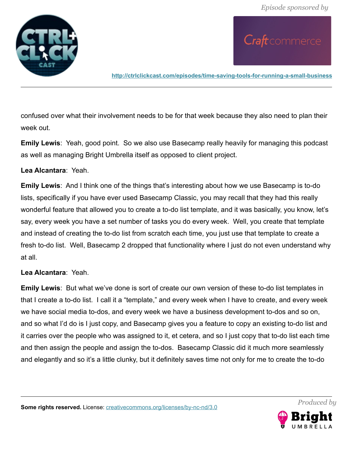

**<http://ctrlclickcast.com/episodes/time-saving-tools-for-running-a-small-business>**

confused over what their involvement needs to be for that week because they also need to plan their week out.

**Emily Lewis**: Yeah, good point. So we also use Basecamp really heavily for managing this podcast as well as managing Bright Umbrella itself as opposed to client project.

#### **Lea Alcantara**: Yeah.

**Emily Lewis**: And I think one of the things that's interesting about how we use Basecamp is to-do lists, specifically if you have ever used Basecamp Classic, you may recall that they had this really wonderful feature that allowed you to create a to-do list template, and it was basically, you know, let's say, every week you have a set number of tasks you do every week. Well, you create that template and instead of creating the to-do list from scratch each time, you just use that template to create a fresh to-do list. Well, Basecamp 2 dropped that functionality where I just do not even understand why at all.

### **Lea Alcantara**: Yeah.

**Emily Lewis**: But what we've done is sort of create our own version of these to-do list templates in that I create a to-do list. I call it a "template," and every week when I have to create, and every week we have social media to-dos, and every week we have a business development to-dos and so on, and so what I'd do is I just copy, and Basecamp gives you a feature to copy an existing to-do list and it carries over the people who was assigned to it, et cetera, and so I just copy that to-do list each time and then assign the people and assign the to-dos. Basecamp Classic did it much more seamlessly and elegantly and so it's a little clunky, but it definitely saves time not only for me to create the to-do

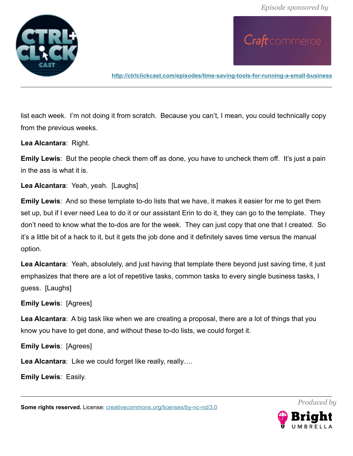

**<http://ctrlclickcast.com/episodes/time-saving-tools-for-running-a-small-business>**

list each week. I'm not doing it from scratch. Because you can't, I mean, you could technically copy from the previous weeks.

**Lea Alcantara**: Right.

**Emily Lewis**: But the people check them off as done, you have to uncheck them off. It's just a pain in the ass is what it is.

**Lea Alcantara**: Yeah, yeah. [Laughs]

**Emily Lewis**: And so these template to-do lists that we have, it makes it easier for me to get them set up, but if I ever need Lea to do it or our assistant Erin to do it, they can go to the template. They don't need to know what the to-dos are for the week. They can just copy that one that I created. So it's a little bit of a hack to it, but it gets the job done and it definitely saves time versus the manual option.

**Lea Alcantara**: Yeah, absolutely, and just having that template there beyond just saving time, it just emphasizes that there are a lot of repetitive tasks, common tasks to every single business tasks, I guess. [Laughs]

**Emily Lewis**: [Agrees]

**Lea Alcantara**: A big task like when we are creating a proposal, there are a lot of things that you know you have to get done, and without these to-do lists, we could forget it.

**Emily Lewis**: [Agrees]

**Lea Alcantara**: Like we could forget like really, really….

**Emily Lewis**: Easily.

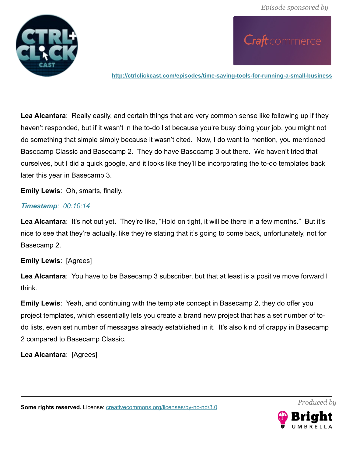

Craft commerce

**<http://ctrlclickcast.com/episodes/time-saving-tools-for-running-a-small-business>**

**Lea Alcantara**: Really easily, and certain things that are very common sense like following up if they haven't responded, but if it wasn't in the to-do list because you're busy doing your job, you might not do something that simple simply because it wasn't cited. Now, I do want to mention, you mentioned Basecamp Classic and Basecamp 2. They do have Basecamp 3 out there. We haven't tried that ourselves, but I did a quick google, and it looks like they'll be incorporating the to-do templates back later this year in Basecamp 3.

**Emily Lewis**: Oh, smarts, finally.

#### *Timestamp: 00:10:14*

Lea Alcantara: It's not out yet. They're like, "Hold on tight, it will be there in a few months." But it's nice to see that they're actually, like they're stating that it's going to come back, unfortunately, not for Basecamp 2.

### **Emily Lewis**: [Agrees]

**Lea Alcantara**: You have to be Basecamp 3 subscriber, but that at least is a positive move forward I think.

**Emily Lewis**: Yeah, and continuing with the template concept in Basecamp 2, they do offer you project templates, which essentially lets you create a brand new project that has a set number of todo lists, even set number of messages already established in it. It's also kind of crappy in Basecamp 2 compared to Basecamp Classic.

**Lea Alcantara**: [Agrees]

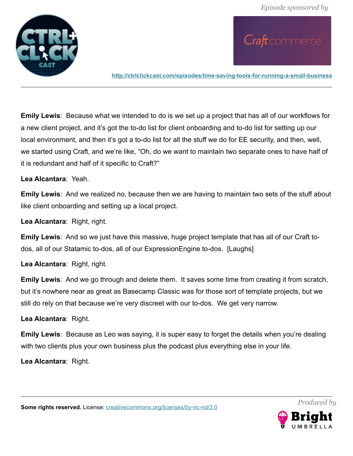

Craft commerce

**<http://ctrlclickcast.com/episodes/time-saving-tools-for-running-a-small-business>**

**Emily Lewis**: Because what we intended to do is we set up a project that has all of our workflows for a new client project, and it's got the to-do list for client onboarding and to-do list for setting up our local environment, and then it's got a to-do list for all the stuff we do for EE security, and then, well, we started using Craft, and we're like, "Oh, do we want to maintain two separate ones to have half of it is redundant and half of it specific to Craft?"

**Lea Alcantara**: Yeah.

**Emily Lewis**: And we realized no, because then we are having to maintain two sets of the stuff about like client onboarding and setting up a local project.

**Lea Alcantara**: Right, right.

**Emily Lewis**: And so we just have this massive, huge project template that has all of our Craft todos, all of our Statamic to-dos, all of our ExpressionEngine to-dos. [Laughs]

**Lea Alcantara**: Right, right.

**Emily Lewis**: And we go through and delete them. It saves some time from creating it from scratch, but it's nowhere near as great as Basecamp Classic was for those sort of template projects, but we still do rely on that because we're very discreet with our to-dos. We get very narrow.

**Lea Alcantara**: Right.

**Emily Lewis**: Because as Leo was saying, it is super easy to forget the details when you're dealing with two clients plus your own business plus the podcast plus everything else in your life.

**Lea Alcantara**: Right.



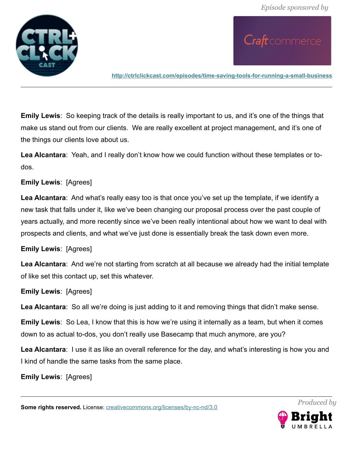

Craft commerce

**<http://ctrlclickcast.com/episodes/time-saving-tools-for-running-a-small-business>**

**Emily Lewis**: So keeping track of the details is really important to us, and it's one of the things that make us stand out from our clients. We are really excellent at project management, and it's one of the things our clients love about us.

**Lea Alcantara**: Yeah, and I really don't know how we could function without these templates or todos.

#### **Emily Lewis**: [Agrees]

**Lea Alcantara**: And what's really easy too is that once you've set up the template, if we identify a new task that falls under it, like we've been changing our proposal process over the past couple of years actually, and more recently since we've been really intentional about how we want to deal with prospects and clients, and what we've just done is essentially break the task down even more.

#### **Emily Lewis**: [Agrees]

**Lea Alcantara**: And we're not starting from scratch at all because we already had the initial template of like set this contact up, set this whatever.

#### **Emily Lewis**: [Agrees]

**Lea Alcantara**: So all we're doing is just adding to it and removing things that didn't make sense.

**Emily Lewis**: So Lea, I know that this is how we're using it internally as a team, but when it comes down to as actual to-dos, you don't really use Basecamp that much anymore, are you?

**Lea Alcantara**: I use it as like an overall reference for the day, and what's interesting is how you and I kind of handle the same tasks from the same place.

**Emily Lewis**: [Agrees]

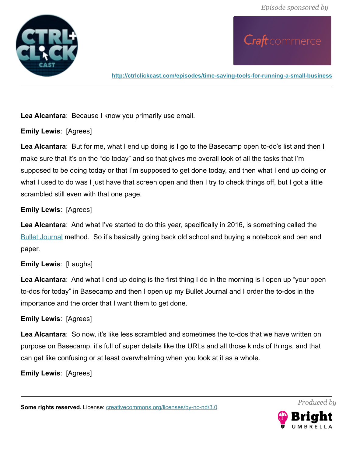

**<http://ctrlclickcast.com/episodes/time-saving-tools-for-running-a-small-business>**

**Lea Alcantara**: Because I know you primarily use email.

**Emily Lewis**: [Agrees]

**Lea Alcantara**: But for me, what I end up doing is I go to the Basecamp open to-do's list and then I make sure that it's on the "do today" and so that gives me overall look of all the tasks that I'm supposed to be doing today or that I'm supposed to get done today, and then what I end up doing or what I used to do was I just have that screen open and then I try to check things off, but I got a little scrambled still even with that one page.

# **Emily Lewis**: [Agrees]

**Lea Alcantara**: And what I've started to do this year, specifically in 2016, is something called the [Bullet Journal](http://bulletjournal.com/) method. So it's basically going back old school and buying a notebook and pen and paper.

# **Emily Lewis**: [Laughs]

**Lea Alcantara**: And what I end up doing is the first thing I do in the morning is I open up "your open to-dos for today" in Basecamp and then I open up my Bullet Journal and I order the to-dos in the importance and the order that I want them to get done.

# **Emily Lewis**: [Agrees]

**Lea Alcantara**: So now, it's like less scrambled and sometimes the to-dos that we have written on purpose on Basecamp, it's full of super details like the URLs and all those kinds of things, and that can get like confusing or at least overwhelming when you look at it as a whole.

**Emily Lewis**: [Agrees]

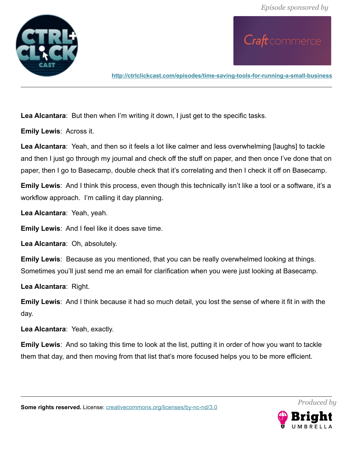

**<http://ctrlclickcast.com/episodes/time-saving-tools-for-running-a-small-business>**

**Lea Alcantara**: But then when I'm writing it down, I just get to the specific tasks.

**Emily Lewis**: Across it.

**Lea Alcantara**: Yeah, and then so it feels a lot like calmer and less overwhelming [laughs] to tackle and then I just go through my journal and check off the stuff on paper, and then once I've done that on paper, then I go to Basecamp, double check that it's correlating and then I check it off on Basecamp.

**Emily Lewis**: And I think this process, even though this technically isn't like a tool or a software, it's a workflow approach. I'm calling it day planning.

**Lea Alcantara**: Yeah, yeah.

**Emily Lewis**: And I feel like it does save time.

**Lea Alcantara**: Oh, absolutely.

**Emily Lewis**: Because as you mentioned, that you can be really overwhelmed looking at things. Sometimes you'll just send me an email for clarification when you were just looking at Basecamp.

**Lea Alcantara**: Right.

**Emily Lewis**: And I think because it had so much detail, you lost the sense of where it fit in with the day.

**Lea Alcantara**: Yeah, exactly.

**Emily Lewis**: And so taking this time to look at the list, putting it in order of how you want to tackle them that day, and then moving from that list that's more focused helps you to be more efficient.



*Produced by*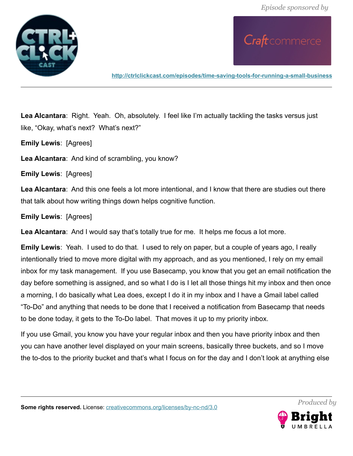

**<http://ctrlclickcast.com/episodes/time-saving-tools-for-running-a-small-business>**

**Lea Alcantara**: Right. Yeah. Oh, absolutely. I feel like I'm actually tackling the tasks versus just like, "Okay, what's next? What's next?"

**Emily Lewis**: [Agrees]

**Lea Alcantara**: And kind of scrambling, you know?

**Emily Lewis**: [Agrees]

**Lea Alcantara**: And this one feels a lot more intentional, and I know that there are studies out there that talk about how writing things down helps cognitive function.

**Emily Lewis**: [Agrees]

**Lea Alcantara**: And I would say that's totally true for me. It helps me focus a lot more.

**Emily Lewis**: Yeah. I used to do that. I used to rely on paper, but a couple of years ago, I really intentionally tried to move more digital with my approach, and as you mentioned, I rely on my email inbox for my task management. If you use Basecamp, you know that you get an email notification the day before something is assigned, and so what I do is I let all those things hit my inbox and then once a morning, I do basically what Lea does, except I do it in my inbox and I have a Gmail label called "To-Do" and anything that needs to be done that I received a notification from Basecamp that needs to be done today, it gets to the To-Do label. That moves it up to my priority inbox.

If you use Gmail, you know you have your regular inbox and then you have priority inbox and then you can have another level displayed on your main screens, basically three buckets, and so I move the to-dos to the priority bucket and that's what I focus on for the day and I don't look at anything else

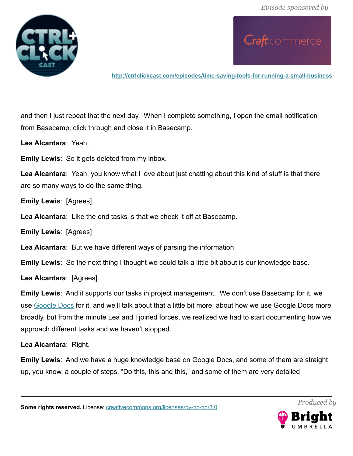

**<http://ctrlclickcast.com/episodes/time-saving-tools-for-running-a-small-business>**

and then I just repeat that the next day. When I complete something, I open the email notification from Basecamp, click through and close it in Basecamp.

**Lea Alcantara**: Yeah.

**Emily Lewis**: So it gets deleted from my inbox.

**Lea Alcantara**: Yeah, you know what I love about just chatting about this kind of stuff is that there are so many ways to do the same thing.

**Emily Lewis**: [Agrees]

**Lea Alcantara**: Like the end tasks is that we check it off at Basecamp.

**Emily Lewis**: [Agrees]

**Lea Alcantara**: But we have different ways of parsing the information.

**Emily Lewis**: So the next thing I thought we could talk a little bit about is our knowledge base.

**Lea Alcantara**: [Agrees]

**Emily Lewis**: And it supports our tasks in project management. We don't use Basecamp for it, we use [Google Docs](http://docs.google.com/) for it, and we'll talk about that a little bit more, about how we use Google Docs more broadly, but from the minute Lea and I joined forces, we realized we had to start documenting how we approach different tasks and we haven't stopped.

**Lea Alcantara**: Right.

**Emily Lewis**: And we have a huge knowledge base on Google Docs, and some of them are straight up, you know, a couple of steps, "Do this, this and this," and some of them are very detailed

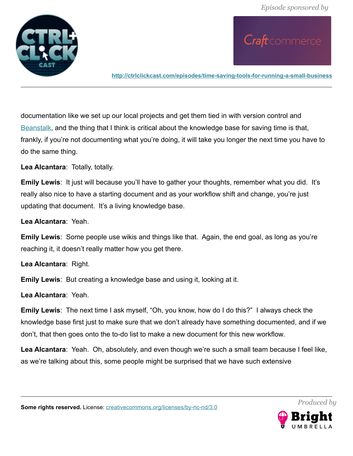

**<http://ctrlclickcast.com/episodes/time-saving-tools-for-running-a-small-business>**

documentation like we set up our local projects and get them tied in with version control and [Beanstalk,](http://beanstalkapp.com/) and the thing that I think is critical about the knowledge base for saving time is that, frankly, if you're not documenting what you're doing, it will take you longer the next time you have to do the same thing.

**Lea Alcantara**: Totally, totally.

**Emily Lewis**: It just will because you'll have to gather your thoughts, remember what you did. It's really also nice to have a starting document and as your workflow shift and change, you're just updating that document. It's a living knowledge base.

**Lea Alcantara**: Yeah.

**Emily Lewis**: Some people use wikis and things like that. Again, the end goal, as long as you're reaching it, it doesn't really matter how you get there.

**Lea Alcantara**: Right.

**Emily Lewis**: But creating a knowledge base and using it, looking at it.

**Lea Alcantara**: Yeah.

**Emily Lewis**: The next time I ask myself, "Oh, you know, how do I do this?" I always check the knowledge base first just to make sure that we don't already have something documented, and if we don't, that then goes onto the to-do list to make a new document for this new workflow.

**Lea Alcantara**: Yeah. Oh, absolutely, and even though we're such a small team because I feel like, as we're talking about this, some people might be surprised that we have such extensive

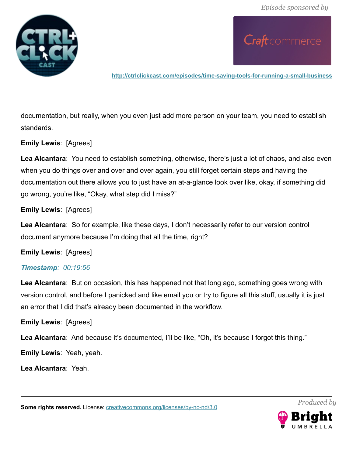

**<http://ctrlclickcast.com/episodes/time-saving-tools-for-running-a-small-business>**

documentation, but really, when you even just add more person on your team, you need to establish standards.

### **Emily Lewis**: [Agrees]

**Lea Alcantara**: You need to establish something, otherwise, there's just a lot of chaos, and also even when you do things over and over and over again, you still forget certain steps and having the documentation out there allows you to just have an at-a-glance look over like, okay, if something did go wrong, you're like, "Okay, what step did I miss?"

### **Emily Lewis**: [Agrees]

**Lea Alcantara**: So for example, like these days, I don't necessarily refer to our version control document anymore because I'm doing that all the time, right?

### **Emily Lewis**: [Agrees]

### *Timestamp: 00:19:56*

**Lea Alcantara**: But on occasion, this has happened not that long ago, something goes wrong with version control, and before I panicked and like email you or try to figure all this stuff, usually it is just an error that I did that's already been documented in the workflow.

### **Emily Lewis**: [Agrees]

Lea Alcantara: And because it's documented, I'll be like, "Oh, it's because I forgot this thing."

**Emily Lewis**: Yeah, yeah.

**Lea Alcantara**: Yeah.

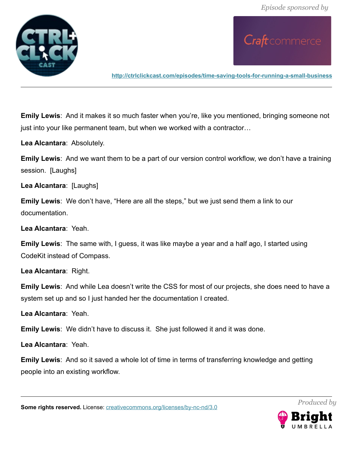

Craft commerce

**<http://ctrlclickcast.com/episodes/time-saving-tools-for-running-a-small-business>**

**Emily Lewis**: And it makes it so much faster when you're, like you mentioned, bringing someone not just into your like permanent team, but when we worked with a contractor…

**Lea Alcantara**: Absolutely.

**Emily Lewis**: And we want them to be a part of our version control workflow, we don't have a training session. [Laughs]

**Lea Alcantara**: [Laughs]

**Emily Lewis**: We don't have, "Here are all the steps," but we just send them a link to our documentation.

**Lea Alcantara**: Yeah.

**Emily Lewis**: The same with, I guess, it was like maybe a year and a half ago, I started using CodeKit instead of Compass.

**Lea Alcantara**: Right.

**Emily Lewis**: And while Lea doesn't write the CSS for most of our projects, she does need to have a system set up and so I just handed her the documentation I created.

**Lea Alcantara**: Yeah.

**Emily Lewis**: We didn't have to discuss it. She just followed it and it was done.

**Lea Alcantara**: Yeah.

**Emily Lewis**: And so it saved a whole lot of time in terms of transferring knowledge and getting people into an existing workflow.

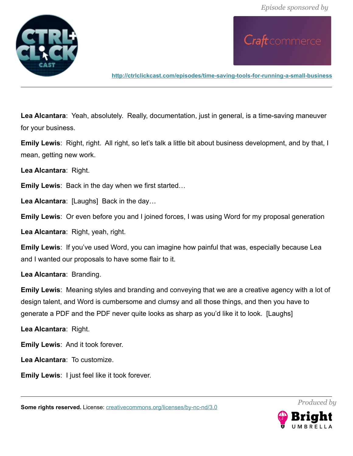

**<http://ctrlclickcast.com/episodes/time-saving-tools-for-running-a-small-business>**

**Lea Alcantara**: Yeah, absolutely. Really, documentation, just in general, is a time-saving maneuver for your business.

**Emily Lewis**: Right, right. All right, so let's talk a little bit about business development, and by that, I mean, getting new work.

**Lea Alcantara**: Right.

**Emily Lewis**: Back in the day when we first started…

**Lea Alcantara**: [Laughs] Back in the day…

**Emily Lewis**: Or even before you and I joined forces, I was using Word for my proposal generation

**Lea Alcantara**: Right, yeah, right.

**Emily Lewis**: If you've used Word, you can imagine how painful that was, especially because Lea and I wanted our proposals to have some flair to it.

**Lea Alcantara**: Branding.

**Emily Lewis**: Meaning styles and branding and conveying that we are a creative agency with a lot of design talent, and Word is cumbersome and clumsy and all those things, and then you have to generate a PDF and the PDF never quite looks as sharp as you'd like it to look. [Laughs]

**Lea Alcantara**: Right.

**Emily Lewis**: And it took forever.

**Lea Alcantara**: To customize.

**Emily Lewis**: I just feel like it took forever.

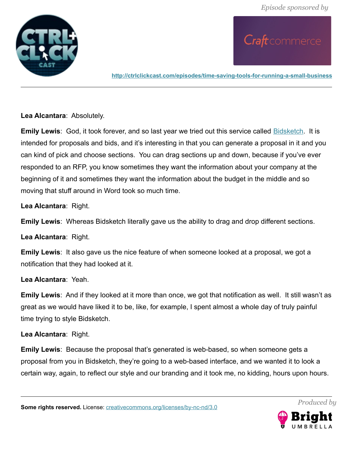

**<http://ctrlclickcast.com/episodes/time-saving-tools-for-running-a-small-business>**

**Lea Alcantara**: Absolutely.

**Emily Lewis**: God, it took forever, and so last year we tried out this service called **Bidsketch**. It is intended for proposals and bids, and it's interesting in that you can generate a proposal in it and you can kind of pick and choose sections. You can drag sections up and down, because if you've ever responded to an RFP, you know sometimes they want the information about your company at the beginning of it and sometimes they want the information about the budget in the middle and so moving that stuff around in Word took so much time.

**Lea Alcantara**: Right.

**Emily Lewis**: Whereas Bidsketch literally gave us the ability to drag and drop different sections.

**Lea Alcantara**: Right.

**Emily Lewis**: It also gave us the nice feature of when someone looked at a proposal, we got a notification that they had looked at it.

**Lea Alcantara**: Yeah.

**Emily Lewis**: And if they looked at it more than once, we got that notification as well. It still wasn't as great as we would have liked it to be, like, for example, I spent almost a whole day of truly painful time trying to style Bidsketch.

#### **Lea Alcantara**: Right.

**Emily Lewis**: Because the proposal that's generated is web-based, so when someone gets a proposal from you in Bidsketch, they're going to a web-based interface, and we wanted it to look a certain way, again, to reflect our style and our branding and it took me, no kidding, hours upon hours.

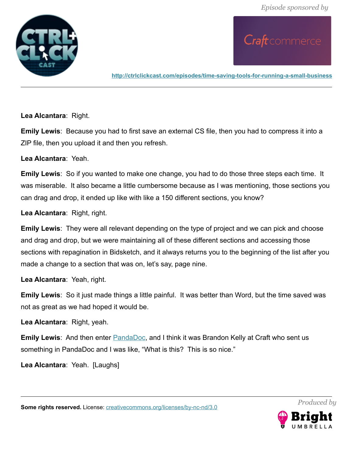

**<http://ctrlclickcast.com/episodes/time-saving-tools-for-running-a-small-business>**

**Lea Alcantara**: Right.

**Emily Lewis**: Because you had to first save an external CS file, then you had to compress it into a ZIP file, then you upload it and then you refresh.

**Lea Alcantara**: Yeah.

**Emily Lewis**: So if you wanted to make one change, you had to do those three steps each time. It was miserable. It also became a little cumbersome because as I was mentioning, those sections you can drag and drop, it ended up like with like a 150 different sections, you know?

**Lea Alcantara**: Right, right.

**Emily Lewis**: They were all relevant depending on the type of project and we can pick and choose and drag and drop, but we were maintaining all of these different sections and accessing those sections with repagination in Bidsketch, and it always returns you to the beginning of the list after you made a change to a section that was on, let's say, page nine.

**Lea Alcantara**: Yeah, right.

**Emily Lewis**: So it just made things a little painful. It was better than Word, but the time saved was not as great as we had hoped it would be.

**Lea Alcantara**: Right, yeah.

**Emily Lewis**: And then enter **PandaDoc**, and I think it was Brandon Kelly at Craft who sent us something in PandaDoc and I was like, "What is this? This is so nice."

**Lea Alcantara**: Yeah. [Laughs]

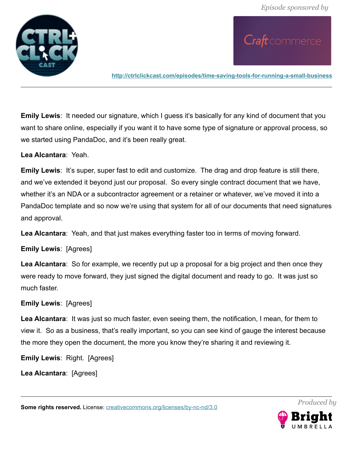

Craft commerce

**<http://ctrlclickcast.com/episodes/time-saving-tools-for-running-a-small-business>**

**Emily Lewis**: It needed our signature, which I guess it's basically for any kind of document that you want to share online, especially if you want it to have some type of signature or approval process, so we started using PandaDoc, and it's been really great.

**Lea Alcantara**: Yeah.

**Emily Lewis:** It's super, super fast to edit and customize. The drag and drop feature is still there, and we've extended it beyond just our proposal. So every single contract document that we have, whether it's an NDA or a subcontractor agreement or a retainer or whatever, we've moved it into a PandaDoc template and so now we're using that system for all of our documents that need signatures and approval.

**Lea Alcantara**: Yeah, and that just makes everything faster too in terms of moving forward.

**Emily Lewis**: [Agrees]

**Lea Alcantara**: So for example, we recently put up a proposal for a big project and then once they were ready to move forward, they just signed the digital document and ready to go. It was just so much faster.

#### **Emily Lewis**: [Agrees]

**Lea Alcantara**: It was just so much faster, even seeing them, the notification, I mean, for them to view it. So as a business, that's really important, so you can see kind of gauge the interest because the more they open the document, the more you know they're sharing it and reviewing it.

**Emily Lewis**: Right. [Agrees]

**Lea Alcantara**: [Agrees]

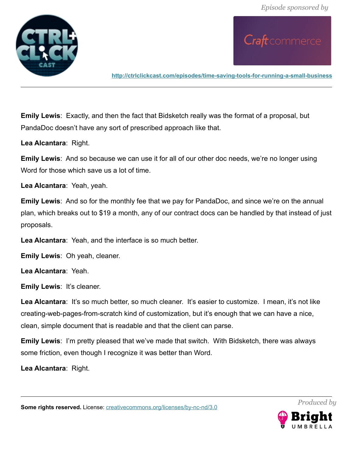

Craft commerce

**<http://ctrlclickcast.com/episodes/time-saving-tools-for-running-a-small-business>**

**Emily Lewis**: Exactly, and then the fact that Bidsketch really was the format of a proposal, but PandaDoc doesn't have any sort of prescribed approach like that.

**Lea Alcantara**: Right.

**Emily Lewis**: And so because we can use it for all of our other doc needs, we're no longer using Word for those which save us a lot of time.

**Lea Alcantara**: Yeah, yeah.

**Emily Lewis**: And so for the monthly fee that we pay for PandaDoc, and since we're on the annual plan, which breaks out to \$19 a month, any of our contract docs can be handled by that instead of just proposals.

**Lea Alcantara**: Yeah, and the interface is so much better.

**Emily Lewis**: Oh yeah, cleaner.

**Lea Alcantara**: Yeah.

**Emily Lewis**: It's cleaner.

Lea Alcantara: It's so much better, so much cleaner. It's easier to customize. I mean, it's not like creating-web-pages-from-scratch kind of customization, but it's enough that we can have a nice, clean, simple document that is readable and that the client can parse.

**Emily Lewis**: I'm pretty pleased that we've made that switch. With Bidsketch, there was always some friction, even though I recognize it was better than Word.

**Lea Alcantara**: Right.

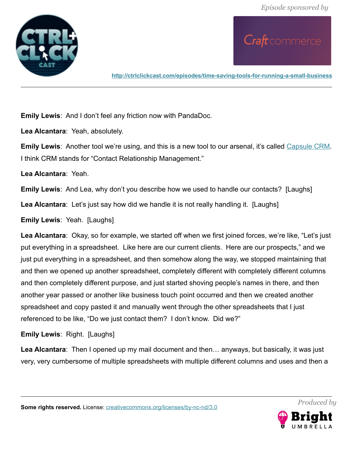

**<http://ctrlclickcast.com/episodes/time-saving-tools-for-running-a-small-business>**

**Emily Lewis**: And I don't feel any friction now with PandaDoc.

**Lea Alcantara**: Yeah, absolutely.

**Emily Lewis**: Another tool we're using, and this is a new tool to our arsenal, it's called [Capsule CRM.](http://capsulecrm.com/) I think CRM stands for "Contact Relationship Management."

**Lea Alcantara**: Yeah.

**Emily Lewis**: And Lea, why don't you describe how we used to handle our contacts? [Laughs]

**Lea Alcantara**: Let's just say how did we handle it is not really handling it. [Laughs]

**Emily Lewis**: Yeah. [Laughs]

**Lea Alcantara**: Okay, so for example, we started off when we first joined forces, we're like, "Let's just put everything in a spreadsheet. Like here are our current clients. Here are our prospects," and we just put everything in a spreadsheet, and then somehow along the way, we stopped maintaining that and then we opened up another spreadsheet, completely different with completely different columns and then completely different purpose, and just started shoving people's names in there, and then another year passed or another like business touch point occurred and then we created another spreadsheet and copy pasted it and manually went through the other spreadsheets that I just referenced to be like, "Do we just contact them? I don't know. Did we?"

**Emily Lewis**: Right. [Laughs]

**Lea Alcantara**: Then I opened up my mail document and then… anyways, but basically, it was just very, very cumbersome of multiple spreadsheets with multiple different columns and uses and then a

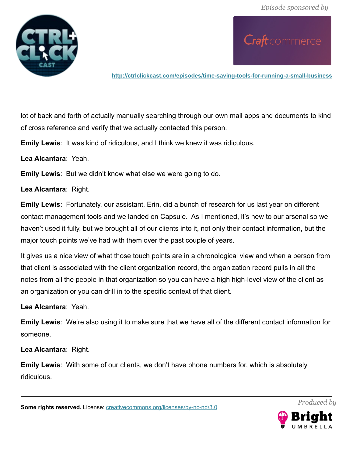Craft commerce



**<http://ctrlclickcast.com/episodes/time-saving-tools-for-running-a-small-business>**

lot of back and forth of actually manually searching through our own mail apps and documents to kind of cross reference and verify that we actually contacted this person.

**Emily Lewis**: It was kind of ridiculous, and I think we knew it was ridiculous.

**Lea Alcantara**: Yeah.

**Emily Lewis**: But we didn't know what else we were going to do.

**Lea Alcantara**: Right.

**Emily Lewis**: Fortunately, our assistant, Erin, did a bunch of research for us last year on different contact management tools and we landed on Capsule. As I mentioned, it's new to our arsenal so we haven't used it fully, but we brought all of our clients into it, not only their contact information, but the major touch points we've had with them over the past couple of years.

It gives us a nice view of what those touch points are in a chronological view and when a person from that client is associated with the client organization record, the organization record pulls in all the notes from all the people in that organization so you can have a high high-level view of the client as an organization or you can drill in to the specific context of that client.

**Lea Alcantara**: Yeah.

**Emily Lewis**: We're also using it to make sure that we have all of the different contact information for someone.

**Lea Alcantara**: Right.

**Emily Lewis**: With some of our clients, we don't have phone numbers for, which is absolutely ridiculous.

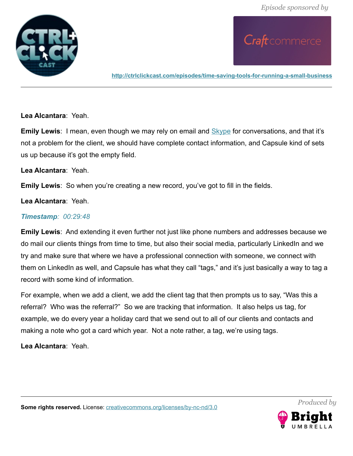

**<http://ctrlclickcast.com/episodes/time-saving-tools-for-running-a-small-business>**

**Lea Alcantara**: Yeah.

**Emily Lewis**: I mean, even though we may rely on email and **Skype** for conversations, and that it's not a problem for the client, we should have complete contact information, and Capsule kind of sets us up because it's got the empty field.

#### **Lea Alcantara**: Yeah.

**Emily Lewis**: So when you're creating a new record, you've got to fill in the fields.

#### **Lea Alcantara**: Yeah.

#### *Timestamp: 00:29:48*

**Emily Lewis**: And extending it even further not just like phone numbers and addresses because we do mail our clients things from time to time, but also their social media, particularly LinkedIn and we try and make sure that where we have a professional connection with someone, we connect with them on LinkedIn as well, and Capsule has what they call "tags," and it's just basically a way to tag a record with some kind of information.

For example, when we add a client, we add the client tag that then prompts us to say, "Was this a referral? Who was the referral?" So we are tracking that information. It also helps us tag, for example, we do every year a holiday card that we send out to all of our clients and contacts and making a note who got a card which year. Not a note rather, a tag, we're using tags.

**Lea Alcantara**: Yeah.



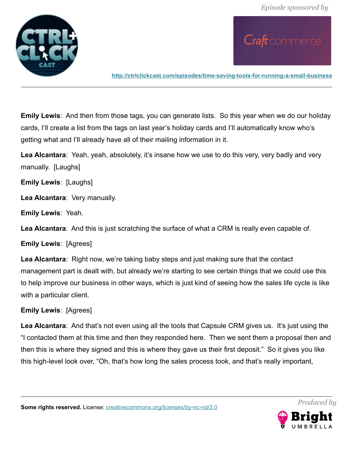

Craft commerce

**<http://ctrlclickcast.com/episodes/time-saving-tools-for-running-a-small-business>**

**Emily Lewis**: And then from those tags, you can generate lists. So this year when we do our holiday cards, I'll create a list from the tags on last year's holiday cards and I'll automatically know who's getting what and I'll already have all of their mailing information in it.

**Lea Alcantara**: Yeah, yeah, absolutely, it's insane how we use to do this very, very badly and very manually. [Laughs]

**Emily Lewis**: [Laughs]

**Lea Alcantara**: Very manually.

**Emily Lewis**: Yeah.

**Lea Alcantara**: And this is just scratching the surface of what a CRM is really even capable of.

**Emily Lewis**: [Agrees]

**Lea Alcantara**: Right now, we're taking baby steps and just making sure that the contact management part is dealt with, but already we're starting to see certain things that we could use this to help improve our business in other ways, which is just kind of seeing how the sales life cycle is like with a particular client.

### **Emily Lewis**: [Agrees]

**Lea Alcantara**: And that's not even using all the tools that Capsule CRM gives us. It's just using the "I contacted them at this time and then they responded here. Then we sent them a proposal then and then this is where they signed and this is where they gave us their first deposit." So it gives you like this high-level look over, "Oh, that's how long the sales process took, and that's really important,

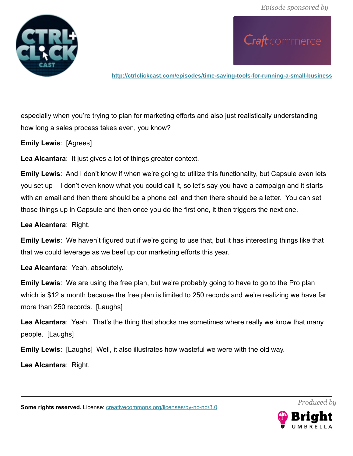

**<http://ctrlclickcast.com/episodes/time-saving-tools-for-running-a-small-business>**

especially when you're trying to plan for marketing efforts and also just realistically understanding how long a sales process takes even, you know?

**Emily Lewis**: [Agrees]

**Lea Alcantara**: It just gives a lot of things greater context.

**Emily Lewis**: And I don't know if when we're going to utilize this functionality, but Capsule even lets you set up – I don't even know what you could call it, so let's say you have a campaign and it starts with an email and then there should be a phone call and then there should be a letter. You can set those things up in Capsule and then once you do the first one, it then triggers the next one.

**Lea Alcantara**: Right.

**Emily Lewis**: We haven't figured out if we're going to use that, but it has interesting things like that that we could leverage as we beef up our marketing efforts this year.

**Lea Alcantara**: Yeah, absolutely.

**Emily Lewis**: We are using the free plan, but we're probably going to have to go to the Pro plan which is \$12 a month because the free plan is limited to 250 records and we're realizing we have far more than 250 records. [Laughs]

**Lea Alcantara**: Yeah. That's the thing that shocks me sometimes where really we know that many people. [Laughs]

**Emily Lewis**: [Laughs] Well, it also illustrates how wasteful we were with the old way.

**Lea Alcantara**: Right.



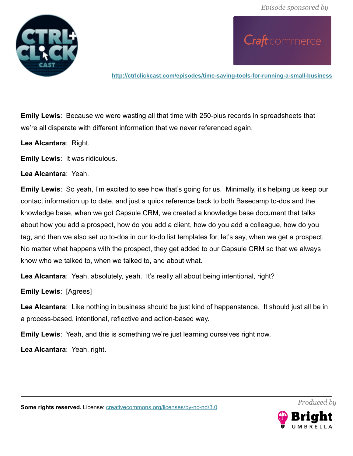

**<http://ctrlclickcast.com/episodes/time-saving-tools-for-running-a-small-business>**

**Emily Lewis**: Because we were wasting all that time with 250-plus records in spreadsheets that we're all disparate with different information that we never referenced again.

**Lea Alcantara**: Right.

**Emily Lewis**: It was ridiculous.

**Lea Alcantara**: Yeah.

**Emily Lewis**: So yeah, I'm excited to see how that's going for us. Minimally, it's helping us keep our contact information up to date, and just a quick reference back to both Basecamp to-dos and the knowledge base, when we got Capsule CRM, we created a knowledge base document that talks about how you add a prospect, how do you add a client, how do you add a colleague, how do you tag, and then we also set up to-dos in our to-do list templates for, let's say, when we get a prospect. No matter what happens with the prospect, they get added to our Capsule CRM so that we always know who we talked to, when we talked to, and about what.

**Lea Alcantara**: Yeah, absolutely, yeah. It's really all about being intentional, right?

**Emily Lewis**: [Agrees]

**Lea Alcantara**: Like nothing in business should be just kind of happenstance. It should just all be in a process-based, intentional, reflective and action-based way.

**Emily Lewis**: Yeah, and this is something we're just learning ourselves right now.

**Lea Alcantara**: Yeah, right.

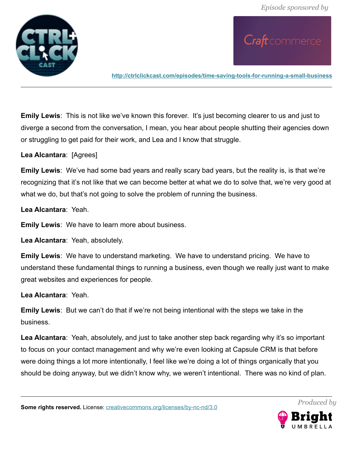

**<http://ctrlclickcast.com/episodes/time-saving-tools-for-running-a-small-business>**

**Emily Lewis**: This is not like we've known this forever. It's just becoming clearer to us and just to diverge a second from the conversation, I mean, you hear about people shutting their agencies down or struggling to get paid for their work, and Lea and I know that struggle.

**Lea Alcantara**: [Agrees]

**Emily Lewis**: We've had some bad years and really scary bad years, but the reality is, is that we're recognizing that it's not like that we can become better at what we do to solve that, we're very good at what we do, but that's not going to solve the problem of running the business.

**Lea Alcantara**: Yeah.

**Emily Lewis**: We have to learn more about business.

**Lea Alcantara**: Yeah, absolutely.

**Emily Lewis**: We have to understand marketing. We have to understand pricing. We have to understand these fundamental things to running a business, even though we really just want to make great websites and experiences for people.

**Lea Alcantara**: Yeah.

**Emily Lewis**: But we can't do that if we're not being intentional with the steps we take in the business.

Lea Alcantara: Yeah, absolutely, and just to take another step back regarding why it's so important to focus on your contact management and why we're even looking at Capsule CRM is that before were doing things a lot more intentionally, I feel like we're doing a lot of things organically that you should be doing anyway, but we didn't know why, we weren't intentional. There was no kind of plan.

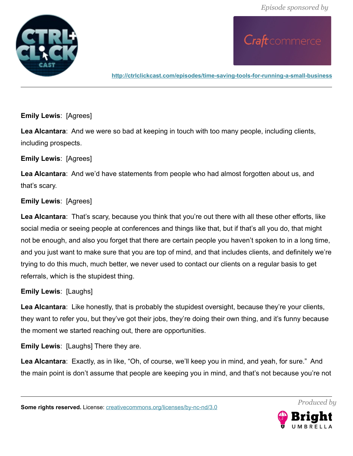

**<http://ctrlclickcast.com/episodes/time-saving-tools-for-running-a-small-business>**

**Emily Lewis**: [Agrees]

**Lea Alcantara**: And we were so bad at keeping in touch with too many people, including clients, including prospects.

#### **Emily Lewis**: [Agrees]

**Lea Alcantara**: And we'd have statements from people who had almost forgotten about us, and that's scary.

### **Emily Lewis**: [Agrees]

**Lea Alcantara**: That's scary, because you think that you're out there with all these other efforts, like social media or seeing people at conferences and things like that, but if that's all you do, that might not be enough, and also you forget that there are certain people you haven't spoken to in a long time, and you just want to make sure that you are top of mind, and that includes clients, and definitely we're trying to do this much, much better, we never used to contact our clients on a regular basis to get referrals, which is the stupidest thing.

### **Emily Lewis**: [Laughs]

**Lea Alcantara**: Like honestly, that is probably the stupidest oversight, because they're your clients, they want to refer you, but they've got their jobs, they're doing their own thing, and it's funny because the moment we started reaching out, there are opportunities.

**Emily Lewis**: [Laughs] There they are.

**Lea Alcantara**: Exactly, as in like, "Oh, of course, we'll keep you in mind, and yeah, for sure." And the main point is don't assume that people are keeping you in mind, and that's not because you're not

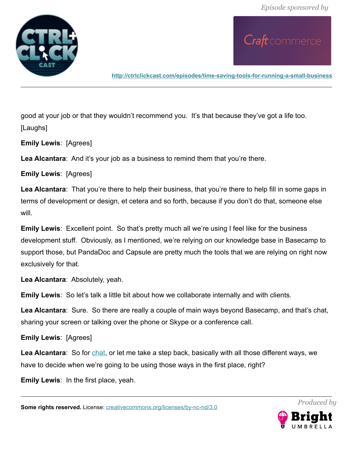

**<http://ctrlclickcast.com/episodes/time-saving-tools-for-running-a-small-business>**

good at your job or that they wouldn't recommend you. It's that because they've got a life too. [Laughs]

**Emily Lewis**: [Agrees]

**Lea Alcantara**: And it's your job as a business to remind them that you're there.

**Emily Lewis**: [Agrees]

Lea Alcantara: That you're there to help their business, that you're there to help fill in some gaps in terms of development or design, et cetera and so forth, because if you don't do that, someone else will.

**Emily Lewis**: Excellent point. So that's pretty much all we're using I feel like for the business development stuff. Obviously, as I mentioned, we're relying on our knowledge base in Basecamp to support those, but PandaDoc and Capsule are pretty much the tools that we are relying on right now exclusively for that.

**Lea Alcantara**: Absolutely, yeah.

**Emily Lewis**: So let's talk a little bit about how we collaborate internally and with clients.

**Lea Alcantara**: Sure. So there are really a couple of main ways beyond Basecamp, and that's chat, sharing your screen or talking over the phone or Skype or a conference call.

**Emily Lewis**: [Agrees]

**Lea Alcantara**: So for [chat,](https://support.google.com/chat/answer/159495?hl=en) or let me take a step back, basically with all those different ways, we have to decide when we're going to be using those ways in the first place, right?

**Emily Lewis**: In the first place, yeah.

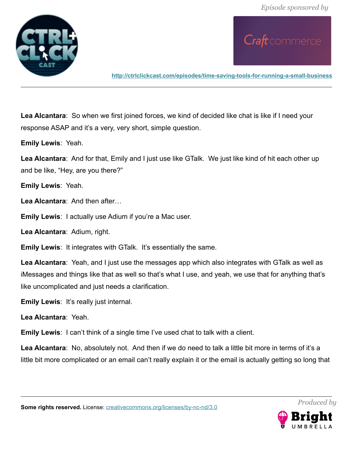

Craft commerce

**<http://ctrlclickcast.com/episodes/time-saving-tools-for-running-a-small-business>**

**Lea Alcantara**: So when we first joined forces, we kind of decided like chat is like if I need your response ASAP and it's a very, very short, simple question.

**Emily Lewis**: Yeah.

**Lea Alcantara**: And for that, Emily and I just use like GTalk. We just like kind of hit each other up and be like, "Hey, are you there?"

**Emily Lewis**: Yeah.

Lea Alcantara: And then after

**Emily Lewis**: I actually use Adium if you're a Mac user.

**Lea Alcantara**: Adium, right.

**Emily Lewis**: It integrates with GTalk. It's essentially the same.

**Lea Alcantara**: Yeah, and I just use the messages app which also integrates with GTalk as well as iMessages and things like that as well so that's what I use, and yeah, we use that for anything that's like uncomplicated and just needs a clarification.

**Emily Lewis**: It's really just internal.

**Lea Alcantara**: Yeah.

**Emily Lewis**: I can't think of a single time I've used chat to talk with a client.

**Lea Alcantara**: No, absolutely not. And then if we do need to talk a little bit more in terms of it's a little bit more complicated or an email can't really explain it or the email is actually getting so long that



*Produced by*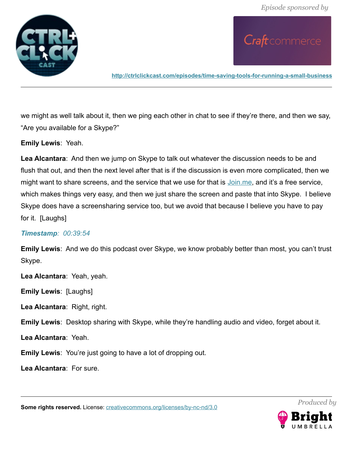

**<http://ctrlclickcast.com/episodes/time-saving-tools-for-running-a-small-business>**

we might as well talk about it, then we ping each other in chat to see if they're there, and then we say, "Are you available for a Skype?"

**Emily Lewis**: Yeah.

**Lea Alcantara**: And then we jump on Skype to talk out whatever the discussion needs to be and flush that out, and then the next level after that is if the discussion is even more complicated, then we might want to share screens, and the service that we use for that is [Join.me,](http://join.me/) and it's a free service, which makes things very easy, and then we just share the screen and paste that into Skype. I believe Skype does have a screensharing service too, but we avoid that because I believe you have to pay for it. [Laughs]

#### *Timestamp: 00:39:54*

**Emily Lewis**: And we do this podcast over Skype, we know probably better than most, you can't trust Skype.

**Lea Alcantara**: Yeah, yeah.

**Emily Lewis**: [Laughs]

**Lea Alcantara**: Right, right.

**Emily Lewis**: Desktop sharing with Skype, while they're handling audio and video, forget about it.

**Lea Alcantara**: Yeah.

**Emily Lewis**: You're just going to have a lot of dropping out.

**Lea Alcantara**: For sure.

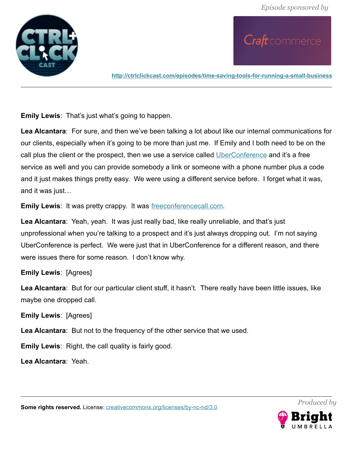

**<http://ctrlclickcast.com/episodes/time-saving-tools-for-running-a-small-business>**

**Emily Lewis**: That's just what's going to happen.

**Lea Alcantara**: For sure, and then we've been talking a lot about like our internal communications for our clients, especially when it's going to be more than just me. If Emily and I both need to be on the call plus the client or the prospect, then we use a service called [UberConference](http://uberconference.com/) and it's a free service as well and you can provide somebody a link or someone with a phone number plus a code and it just makes things pretty easy. We were using a different service before. I forget what it was, and it was just…

**Emily Lewis:** It was pretty crappy. It was [freeconferencecall.com.](http://freeconferencecall.com/)

**Lea Alcantara**: Yeah, yeah. It was just really bad, like really unreliable, and that's just unprofessional when you're talking to a prospect and it's just always dropping out. I'm not saying UberConference is perfect. We were just that in UberConference for a different reason, and there were issues there for some reason. I don't know why.

### **Emily Lewis**: [Agrees]

Lea Alcantara: But for our particular client stuff, it hasn't. There really have been little issues, like maybe one dropped call.

**Emily Lewis**: [Agrees]

**Lea Alcantara**: But not to the frequency of the other service that we used.

**Emily Lewis**: Right, the call quality is fairly good.

**Lea Alcantara**: Yeah.





*Produced by*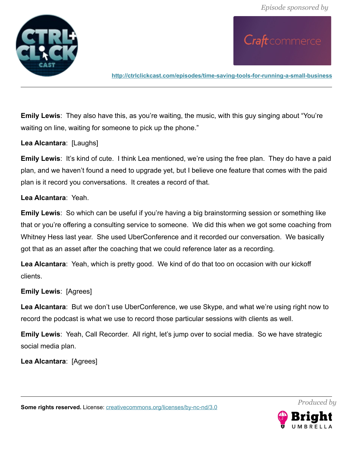

**<http://ctrlclickcast.com/episodes/time-saving-tools-for-running-a-small-business>**

**Emily Lewis**: They also have this, as you're waiting, the music, with this guy singing about "You're waiting on line, waiting for someone to pick up the phone."

**Lea Alcantara**: [Laughs]

**Emily Lewis:** It's kind of cute. I think Lea mentioned, we're using the free plan. They do have a paid plan, and we haven't found a need to upgrade yet, but I believe one feature that comes with the paid plan is it record you conversations. It creates a record of that.

**Lea Alcantara**: Yeah.

**Emily Lewis**: So which can be useful if you're having a big brainstorming session or something like that or you're offering a consulting service to someone. We did this when we got some coaching from Whitney Hess last year. She used UberConference and it recorded our conversation. We basically got that as an asset after the coaching that we could reference later as a recording.

**Lea Alcantara**: Yeah, which is pretty good. We kind of do that too on occasion with our kickoff clients.

#### **Emily Lewis**: [Agrees]

**Lea Alcantara**: But we don't use UberConference, we use Skype, and what we're using right now to record the podcast is what we use to record those particular sessions with clients as well.

**Emily Lewis**: Yeah, Call Recorder. All right, let's jump over to social media. So we have strategic social media plan.

**Lea Alcantara**: [Agrees]



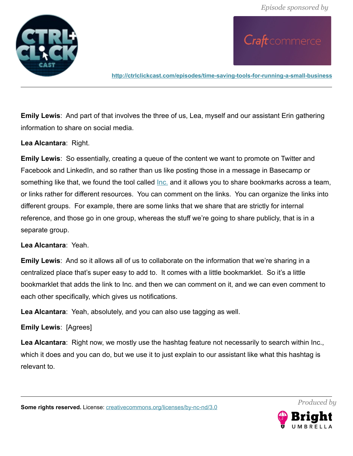

**<http://ctrlclickcast.com/episodes/time-saving-tools-for-running-a-small-business>**

**Emily Lewis**: And part of that involves the three of us, Lea, myself and our assistant Erin gathering information to share on social media.

**Lea Alcantara**: Right.

**Emily Lewis**: So essentially, creating a queue of the content we want to promote on Twitter and Facebook and LinkedIn, and so rather than us like posting those in a message in Basecamp or something like that, we found the tool called [Inc.](http://sendtoinc.com/) and it allows you to share bookmarks across a team, or links rather for different resources. You can comment on the links. You can organize the links into different groups. For example, there are some links that we share that are strictly for internal reference, and those go in one group, whereas the stuff we're going to share publicly, that is in a separate group.

#### **Lea Alcantara**: Yeah.

**Emily Lewis**: And so it allows all of us to collaborate on the information that we're sharing in a centralized place that's super easy to add to. It comes with a little bookmarklet. So it's a little bookmarklet that adds the link to Inc. and then we can comment on it, and we can even comment to each other specifically, which gives us notifications.

**Lea Alcantara**: Yeah, absolutely, and you can also use tagging as well.

**Emily Lewis**: [Agrees]

**Lea Alcantara**: Right now, we mostly use the hashtag feature not necessarily to search within Inc., which it does and you can do, but we use it to just explain to our assistant like what this hashtag is relevant to.

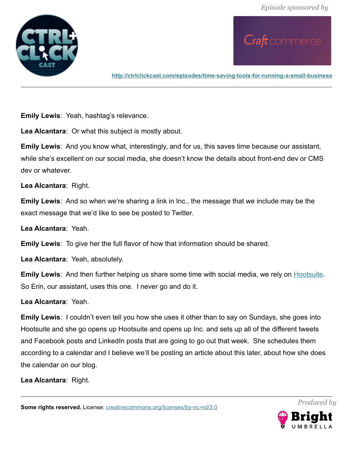

**<http://ctrlclickcast.com/episodes/time-saving-tools-for-running-a-small-business>**

**Emily Lewis**: Yeah, hashtag's relevance.

**Lea Alcantara**: Or what this subject is mostly about.

**Emily Lewis**: And you know what, interestingly, and for us, this saves time because our assistant, while she's excellent on our social media, she doesn't know the details about front-end dev or CMS dev or whatever.

**Lea Alcantara**: Right.

**Emily Lewis**: And so when we're sharing a link in Inc., the message that we include may be the exact message that we'd like to see be posted to Twitter.

**Lea Alcantara**: Yeah.

**Emily Lewis**: To give her the full flavor of how that information should be shared.

**Lea Alcantara**: Yeah, absolutely.

**Emily Lewis**: And then further helping us share some time with social media, we rely on **Hootsuite**. So Erin, our assistant, uses this one. I never go and do it.

**Lea Alcantara**: Yeah.

**Emily Lewis**: I couldn't even tell you how she uses it other than to say on Sundays, she goes into Hootsuite and she go opens up Hootsuite and opens up Inc. and sets up all of the different tweets and Facebook posts and LinkedIn posts that are going to go out that week. She schedules them according to a calendar and I believe we'll be posting an article about this later, about how she does the calendar on our blog.

**Lea Alcantara**: Right.

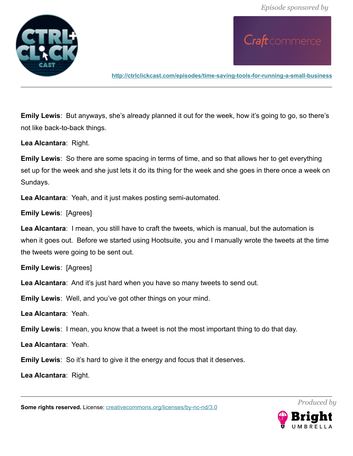

**<http://ctrlclickcast.com/episodes/time-saving-tools-for-running-a-small-business>**

**Emily Lewis**: But anyways, she's already planned it out for the week, how it's going to go, so there's not like back-to-back things.

**Lea Alcantara**: Right.

**Emily Lewis**: So there are some spacing in terms of time, and so that allows her to get everything set up for the week and she just lets it do its thing for the week and she goes in there once a week on Sundays.

**Lea Alcantara**: Yeah, and it just makes posting semi-automated.

**Emily Lewis**: [Agrees]

**Lea Alcantara**: I mean, you still have to craft the tweets, which is manual, but the automation is when it goes out. Before we started using Hootsuite, you and I manually wrote the tweets at the time the tweets were going to be sent out.

**Emily Lewis**: [Agrees]

**Lea Alcantara**: And it's just hard when you have so many tweets to send out.

**Emily Lewis**: Well, and you've got other things on your mind.

**Lea Alcantara**: Yeah.

**Emily Lewis**: I mean, you know that a tweet is not the most important thing to do that day.

**Lea Alcantara**: Yeah.

**Emily Lewis**: So it's hard to give it the energy and focus that it deserves.

**Lea Alcantara**: Right.

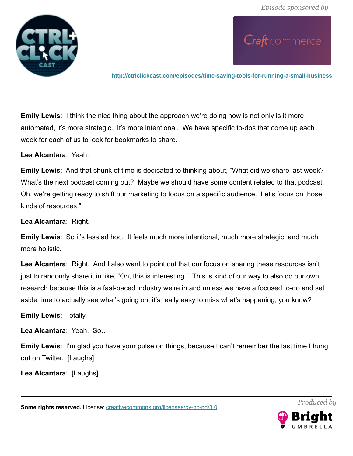

Craft commerce

**<http://ctrlclickcast.com/episodes/time-saving-tools-for-running-a-small-business>**

**Emily Lewis**: I think the nice thing about the approach we're doing now is not only is it more automated, it's more strategic. It's more intentional. We have specific to-dos that come up each week for each of us to look for bookmarks to share.

**Lea Alcantara**: Yeah.

**Emily Lewis**: And that chunk of time is dedicated to thinking about, "What did we share last week? What's the next podcast coming out? Maybe we should have some content related to that podcast. Oh, we're getting ready to shift our marketing to focus on a specific audience. Let's focus on those kinds of resources."

**Lea Alcantara**: Right.

**Emily Lewis**: So it's less ad hoc. It feels much more intentional, much more strategic, and much more holistic.

**Lea Alcantara**: Right. And I also want to point out that our focus on sharing these resources isn't just to randomly share it in like, "Oh, this is interesting." This is kind of our way to also do our own research because this is a fast-paced industry we're in and unless we have a focused to-do and set aside time to actually see what's going on, it's really easy to miss what's happening, you know?

**Emily Lewis**: Totally.

**Lea Alcantara**: Yeah. So…

**Emily Lewis**: I'm glad you have your pulse on things, because I can't remember the last time I hung out on Twitter. [Laughs]

**Lea Alcantara**: [Laughs]

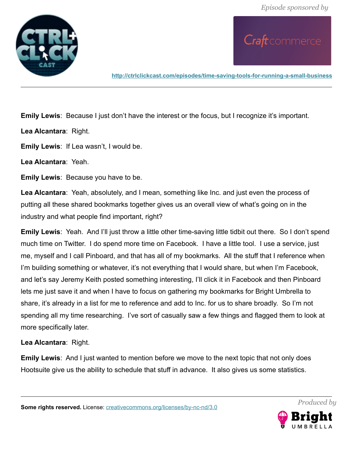

**<http://ctrlclickcast.com/episodes/time-saving-tools-for-running-a-small-business>**

**Emily Lewis**: Because I just don't have the interest or the focus, but I recognize it's important.

**Lea Alcantara**: Right.

**Emily Lewis**: If Lea wasn't, I would be.

**Lea Alcantara**: Yeah.

**Emily Lewis**: Because you have to be.

**Lea Alcantara**: Yeah, absolutely, and I mean, something like Inc. and just even the process of putting all these shared bookmarks together gives us an overall view of what's going on in the industry and what people find important, right?

**Emily Lewis**: Yeah. And I'll just throw a little other time-saving little tidbit out there. So I don't spend much time on Twitter. I do spend more time on Facebook. I have a little tool. I use a service, just me, myself and I call Pinboard, and that has all of my bookmarks. All the stuff that I reference when I'm building something or whatever, it's not everything that I would share, but when I'm Facebook, and let's say Jeremy Keith posted something interesting, I'll click it in Facebook and then Pinboard lets me just save it and when I have to focus on gathering my bookmarks for Bright Umbrella to share, it's already in a list for me to reference and add to Inc. for us to share broadly. So I'm not spending all my time researching. I've sort of casually saw a few things and flagged them to look at more specifically later.

**Lea Alcantara**: Right.

**Emily Lewis**: And I just wanted to mention before we move to the next topic that not only does Hootsuite give us the ability to schedule that stuff in advance. It also gives us some statistics.

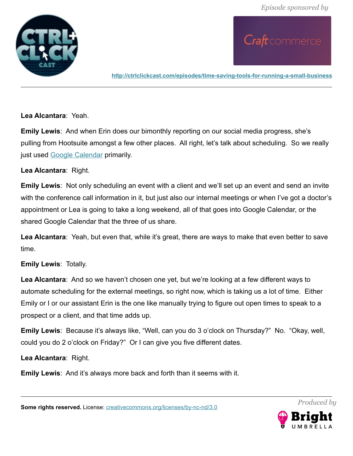

**<http://ctrlclickcast.com/episodes/time-saving-tools-for-running-a-small-business>**

**Lea Alcantara**: Yeah.

**Emily Lewis**: And when Erin does our bimonthly reporting on our social media progress, she's pulling from Hootsuite amongst a few other places. All right, let's talk about scheduling. So we really just used [Google Calendar](http://calendar.google.com/) primarily.

### **Lea Alcantara**: Right.

**Emily Lewis**: Not only scheduling an event with a client and we'll set up an event and send an invite with the conference call information in it, but just also our internal meetings or when I've got a doctor's appointment or Lea is going to take a long weekend, all of that goes into Google Calendar, or the shared Google Calendar that the three of us share.

**Lea Alcantara**: Yeah, but even that, while it's great, there are ways to make that even better to save time.

### **Emily Lewis**: Totally.

**Lea Alcantara**: And so we haven't chosen one yet, but we're looking at a few different ways to automate scheduling for the external meetings, so right now, which is taking us a lot of time. Either Emily or I or our assistant Erin is the one like manually trying to figure out open times to speak to a prospect or a client, and that time adds up.

**Emily Lewis**: Because it's always like, "Well, can you do 3 o'clock on Thursday?" No. "Okay, well, could you do 2 o'clock on Friday?" Or I can give you five different dates.

**Lea Alcantara**: Right.

**Emily Lewis**: And it's always more back and forth than it seems with it.

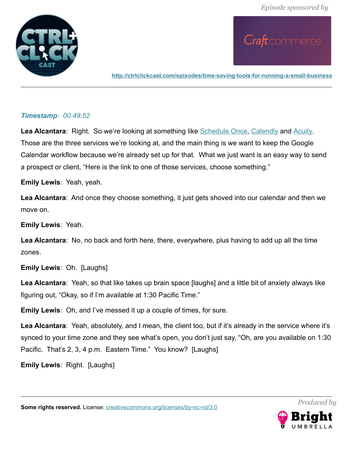

**<http://ctrlclickcast.com/episodes/time-saving-tools-for-running-a-small-business>**

## *Timestamp: 00:49:52*

Lea Alcantara: Right. So we're looking at something like **Schedule Once, [Calendly](http://calendly.com/) and Acuity**. Those are the three services we're looking at, and the main thing is we want to keep the Google Calendar workflow because we're already set up for that. What we just want is an easy way to send a prospect or client, "Here is the link to one of those services, choose something."

**Emily Lewis**: Yeah, yeah.

**Lea Alcantara**: And once they choose something, it just gets shoved into our calendar and then we move on.

**Emily Lewis**: Yeah.

**Lea Alcantara**: No, no back and forth here, there, everywhere, plus having to add up all the time zones.

**Emily Lewis**: Oh. [Laughs]

**Lea Alcantara**: Yeah, so that like takes up brain space [laughs] and a little bit of anxiety always like figuring out, "Okay, so if I'm available at 1:30 Pacific Time."

**Emily Lewis**: Oh, and I've messed it up a couple of times, for sure.

**Lea Alcantara**: Yeah, absolutely, and I mean, the client too, but if it's already in the service where it's synced to your time zone and they see what's open, you don't just say, "Oh, are you available on 1:30 Pacific. That's 2, 3, 4 p.m. Eastern Time." You know? [Laughs]

**Emily Lewis**: Right. [Laughs]

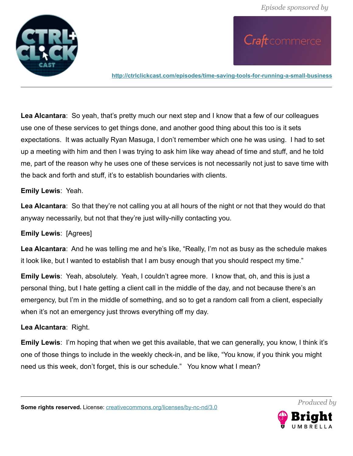

**<http://ctrlclickcast.com/episodes/time-saving-tools-for-running-a-small-business>**

**Lea Alcantara**: So yeah, that's pretty much our next step and I know that a few of our colleagues use one of these services to get things done, and another good thing about this too is it sets expectations. It was actually Ryan Masuga, I don't remember which one he was using. I had to set up a meeting with him and then I was trying to ask him like way ahead of time and stuff, and he told me, part of the reason why he uses one of these services is not necessarily not just to save time with the back and forth and stuff, it's to establish boundaries with clients.

#### **Emily Lewis**: Yeah.

**Lea Alcantara**: So that they're not calling you at all hours of the night or not that they would do that anyway necessarily, but not that they're just willy-nilly contacting you.

### **Emily Lewis**: [Agrees]

**Lea Alcantara**: And he was telling me and he's like, "Really, I'm not as busy as the schedule makes it look like, but I wanted to establish that I am busy enough that you should respect my time."

**Emily Lewis**: Yeah, absolutely. Yeah, I couldn't agree more. I know that, oh, and this is just a personal thing, but I hate getting a client call in the middle of the day, and not because there's an emergency, but I'm in the middle of something, and so to get a random call from a client, especially when it's not an emergency just throws everything off my day.

### **Lea Alcantara**: Right.

**Emily Lewis**: I'm hoping that when we get this available, that we can generally, you know, I think it's one of those things to include in the weekly check-in, and be like, "You know, if you think you might need us this week, don't forget, this is our schedule." You know what I mean?

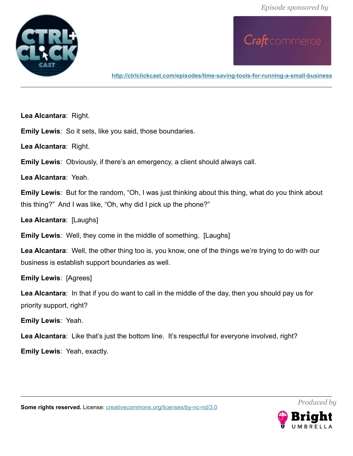

**<http://ctrlclickcast.com/episodes/time-saving-tools-for-running-a-small-business>**

**Lea Alcantara**: Right.

**Emily Lewis**: So it sets, like you said, those boundaries.

**Lea Alcantara**: Right.

**Emily Lewis**: Obviously, if there's an emergency, a client should always call.

**Lea Alcantara**: Yeah.

**Emily Lewis**: But for the random, "Oh, I was just thinking about this thing, what do you think about this thing?" And I was like, "Oh, why did I pick up the phone?"

**Lea Alcantara**: [Laughs]

**Emily Lewis**: Well, they come in the middle of something. [Laughs]

**Lea Alcantara**: Well, the other thing too is, you know, one of the things we're trying to do with our business is establish support boundaries as well.

**Emily Lewis**: [Agrees]

**Lea Alcantara**: In that if you do want to call in the middle of the day, then you should pay us for priority support, right?

**Emily Lewis**: Yeah.

Lea Alcantara: Like that's just the bottom line. It's respectful for everyone involved, right?

**Emily Lewis**: Yeah, exactly.



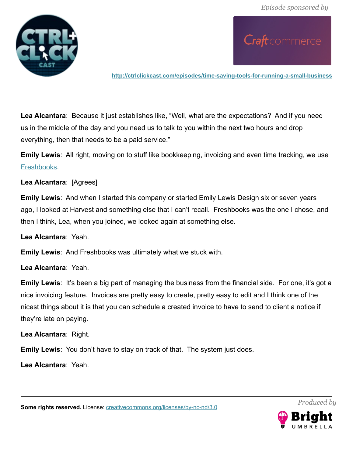

Craft commerce

**<http://ctrlclickcast.com/episodes/time-saving-tools-for-running-a-small-business>**

**Lea Alcantara**: Because it just establishes like, "Well, what are the expectations? And if you need us in the middle of the day and you need us to talk to you within the next two hours and drop everything, then that needs to be a paid service."

**Emily Lewis**: All right, moving on to stuff like bookkeeping, invoicing and even time tracking, we use [Freshbooks.](https://abrightumbrella.freshbooks.com/tryfreshbooks/www)

**Lea Alcantara**: [Agrees]

**Emily Lewis**: And when I started this company or started Emily Lewis Design six or seven years ago, I looked at Harvest and something else that I can't recall. Freshbooks was the one I chose, and then I think, Lea, when you joined, we looked again at something else.

**Lea Alcantara**: Yeah.

**Emily Lewis**: And Freshbooks was ultimately what we stuck with.

**Lea Alcantara**: Yeah.

**Emily Lewis**: It's been a big part of managing the business from the financial side. For one, it's got a nice invoicing feature. Invoices are pretty easy to create, pretty easy to edit and I think one of the nicest things about it is that you can schedule a created invoice to have to send to client a notice if they're late on paying.

**Lea Alcantara**: Right.

**Emily Lewis**: You don't have to stay on track of that. The system just does.

**Lea Alcantara**: Yeah.

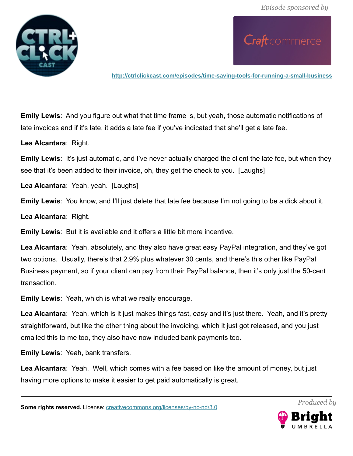

**<http://ctrlclickcast.com/episodes/time-saving-tools-for-running-a-small-business>**

**Emily Lewis**: And you figure out what that time frame is, but yeah, those automatic notifications of late invoices and if it's late, it adds a late fee if you've indicated that she'll get a late fee.

**Lea Alcantara**: Right.

**Emily Lewis:** It's just automatic, and I've never actually charged the client the late fee, but when they see that it's been added to their invoice, oh, they get the check to you. [Laughs]

**Lea Alcantara**: Yeah, yeah. [Laughs]

**Emily Lewis**: You know, and I'll just delete that late fee because I'm not going to be a dick about it.

**Lea Alcantara**: Right.

**Emily Lewis**: But it is available and it offers a little bit more incentive.

**Lea Alcantara**: Yeah, absolutely, and they also have great easy PayPal integration, and they've got two options. Usually, there's that 2.9% plus whatever 30 cents, and there's this other like PayPal Business payment, so if your client can pay from their PayPal balance, then it's only just the 50-cent transaction.

**Emily Lewis**: Yeah, which is what we really encourage.

**Lea Alcantara**: Yeah, which is it just makes things fast, easy and it's just there. Yeah, and it's pretty straightforward, but like the other thing about the invoicing, which it just got released, and you just emailed this to me too, they also have now included bank payments too.

**Emily Lewis**: Yeah, bank transfers.

**Lea Alcantara**: Yeah. Well, which comes with a fee based on like the amount of money, but just having more options to make it easier to get paid automatically is great.

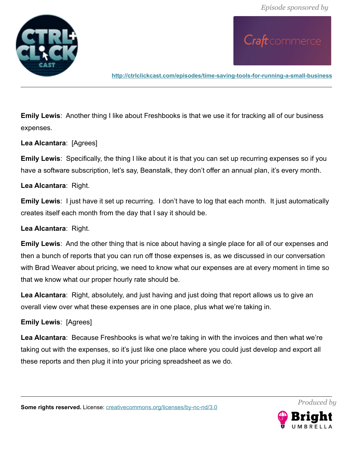

**<http://ctrlclickcast.com/episodes/time-saving-tools-for-running-a-small-business>**

**Emily Lewis**: Another thing I like about Freshbooks is that we use it for tracking all of our business expenses.

## **Lea Alcantara**: [Agrees]

**Emily Lewis**: Specifically, the thing I like about it is that you can set up recurring expenses so if you have a software subscription, let's say, Beanstalk, they don't offer an annual plan, it's every month.

### **Lea Alcantara**: Right.

**Emily Lewis**: I just have it set up recurring. I don't have to log that each month. It just automatically creates itself each month from the day that I say it should be.

### **Lea Alcantara**: Right.

**Emily Lewis**: And the other thing that is nice about having a single place for all of our expenses and then a bunch of reports that you can run off those expenses is, as we discussed in our conversation with Brad Weaver about pricing, we need to know what our expenses are at every moment in time so that we know what our proper hourly rate should be.

**Lea Alcantara**: Right, absolutely, and just having and just doing that report allows us to give an overall view over what these expenses are in one place, plus what we're taking in.

### **Emily Lewis**: [Agrees]

**Lea Alcantara**: Because Freshbooks is what we're taking in with the invoices and then what we're taking out with the expenses, so it's just like one place where you could just develop and export all these reports and then plug it into your pricing spreadsheet as we do.

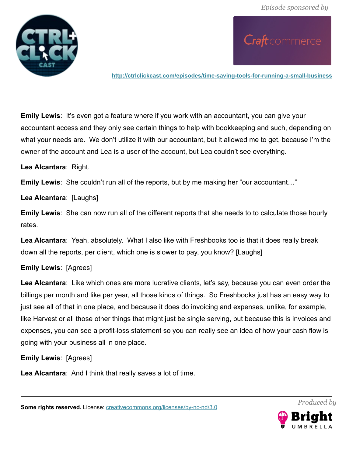

**<http://ctrlclickcast.com/episodes/time-saving-tools-for-running-a-small-business>**

**Emily Lewis:** It's even got a feature where if you work with an accountant, you can give your accountant access and they only see certain things to help with bookkeeping and such, depending on what your needs are. We don't utilize it with our accountant, but it allowed me to get, because I'm the owner of the account and Lea is a user of the account, but Lea couldn't see everything.

**Lea Alcantara**: Right.

**Emily Lewis**: She couldn't run all of the reports, but by me making her "our accountant…"

**Lea Alcantara**: [Laughs]

**Emily Lewis**: She can now run all of the different reports that she needs to to calculate those hourly rates.

**Lea Alcantara**: Yeah, absolutely. What I also like with Freshbooks too is that it does really break down all the reports, per client, which one is slower to pay, you know? [Laughs]

# **Emily Lewis**: [Agrees]

**Lea Alcantara**: Like which ones are more lucrative clients, let's say, because you can even order the billings per month and like per year, all those kinds of things. So Freshbooks just has an easy way to just see all of that in one place, and because it does do invoicing and expenses, unlike, for example, like Harvest or all those other things that might just be single serving, but because this is invoices and expenses, you can see a profit-loss statement so you can really see an idea of how your cash flow is going with your business all in one place.

**Emily Lewis**: [Agrees]

**Lea Alcantara**: And I think that really saves a lot of time.

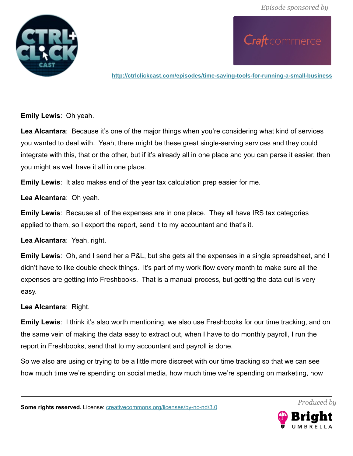

**<http://ctrlclickcast.com/episodes/time-saving-tools-for-running-a-small-business>**

**Emily Lewis**: Oh yeah.

**Lea Alcantara**: Because it's one of the major things when you're considering what kind of services you wanted to deal with. Yeah, there might be these great single-serving services and they could integrate with this, that or the other, but if it's already all in one place and you can parse it easier, then you might as well have it all in one place.

**Emily Lewis**: It also makes end of the year tax calculation prep easier for me.

**Lea Alcantara**: Oh yeah.

**Emily Lewis**: Because all of the expenses are in one place. They all have IRS tax categories applied to them, so I export the report, send it to my accountant and that's it.

**Lea Alcantara**: Yeah, right.

**Emily Lewis**: Oh, and I send her a P&L, but she gets all the expenses in a single spreadsheet, and I didn't have to like double check things. It's part of my work flow every month to make sure all the expenses are getting into Freshbooks. That is a manual process, but getting the data out is very easy.

**Lea Alcantara**: Right.

**Emily Lewis:** I think it's also worth mentioning, we also use Freshbooks for our time tracking, and on the same vein of making the data easy to extract out, when I have to do monthly payroll, I run the report in Freshbooks, send that to my accountant and payroll is done.

So we also are using or trying to be a little more discreet with our time tracking so that we can see how much time we're spending on social media, how much time we're spending on marketing, how

**Some rights reserved.** License: *creativecommons.org/licenses/by-nc-nd/3.0* 



*Produced by*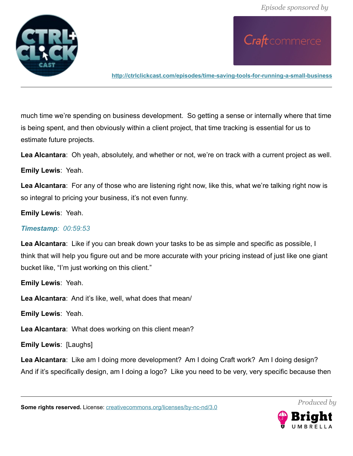

Craft commerce

**<http://ctrlclickcast.com/episodes/time-saving-tools-for-running-a-small-business>**

much time we're spending on business development. So getting a sense or internally where that time is being spent, and then obviously within a client project, that time tracking is essential for us to estimate future projects.

**Lea Alcantara**: Oh yeah, absolutely, and whether or not, we're on track with a current project as well.

**Emily Lewis**: Yeah.

**Lea Alcantara**: For any of those who are listening right now, like this, what we're talking right now is so integral to pricing your business, it's not even funny.

**Emily Lewis**: Yeah.

## *Timestamp: 00:59:53*

**Lea Alcantara**: Like if you can break down your tasks to be as simple and specific as possible, I think that will help you figure out and be more accurate with your pricing instead of just like one giant bucket like, "I'm just working on this client."

**Emily Lewis**: Yeah.

**Lea Alcantara**: And it's like, well, what does that mean/

**Emily Lewis**: Yeah.

**Lea Alcantara**: What does working on this client mean?

**Emily Lewis**: [Laughs]

**Lea Alcantara**: Like am I doing more development? Am I doing Craft work? Am I doing design? And if it's specifically design, am I doing a logo? Like you need to be very, very specific because then

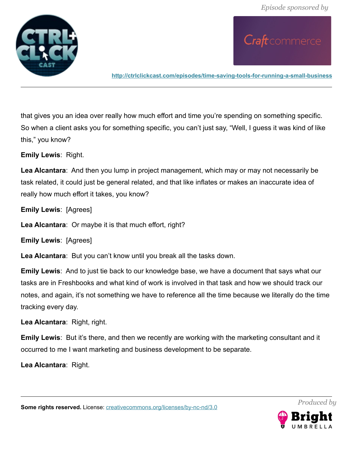

**<http://ctrlclickcast.com/episodes/time-saving-tools-for-running-a-small-business>**

that gives you an idea over really how much effort and time you're spending on something specific. So when a client asks you for something specific, you can't just say, "Well, I guess it was kind of like this," you know?

**Emily Lewis**: Right.

**Lea Alcantara**: And then you lump in project management, which may or may not necessarily be task related, it could just be general related, and that like inflates or makes an inaccurate idea of really how much effort it takes, you know?

**Emily Lewis**: [Agrees]

**Lea Alcantara**: Or maybe it is that much effort, right?

**Emily Lewis**: [Agrees]

**Lea Alcantara**: But you can't know until you break all the tasks down.

**Emily Lewis**: And to just tie back to our knowledge base, we have a document that says what our tasks are in Freshbooks and what kind of work is involved in that task and how we should track our notes, and again, it's not something we have to reference all the time because we literally do the time tracking every day.

**Lea Alcantara**: Right, right.

**Emily Lewis**: But it's there, and then we recently are working with the marketing consultant and it occurred to me I want marketing and business development to be separate.

**Lea Alcantara**: Right.

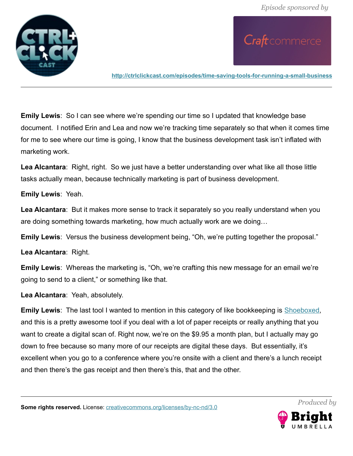

**<http://ctrlclickcast.com/episodes/time-saving-tools-for-running-a-small-business>**

**Emily Lewis**: So I can see where we're spending our time so I updated that knowledge base document. I notified Erin and Lea and now we're tracking time separately so that when it comes time for me to see where our time is going, I know that the business development task isn't inflated with marketing work.

**Lea Alcantara**: Right, right. So we just have a better understanding over what like all those little tasks actually mean, because technically marketing is part of business development.

#### **Emily Lewis**: Yeah.

**Lea Alcantara**: But it makes more sense to track it separately so you really understand when you are doing something towards marketing, how much actually work are we doing…

**Emily Lewis**: Versus the business development being, "Oh, we're putting together the proposal."

**Lea Alcantara**: Right.

**Emily Lewis**: Whereas the marketing is, "Oh, we're crafting this new message for an email we're going to send to a client," or something like that.

**Lea Alcantara**: Yeah, absolutely.

**Emily Lewis**: The last tool I wanted to mention in this category of like bookkeeping is **Shoeboxed**, and this is a pretty awesome tool if you deal with a lot of paper receipts or really anything that you want to create a digital scan of. Right now, we're on the \$9.95 a month plan, but I actually may go down to free because so many more of our receipts are digital these days. But essentially, it's excellent when you go to a conference where you're onsite with a client and there's a lunch receipt and then there's the gas receipt and then there's this, that and the other.

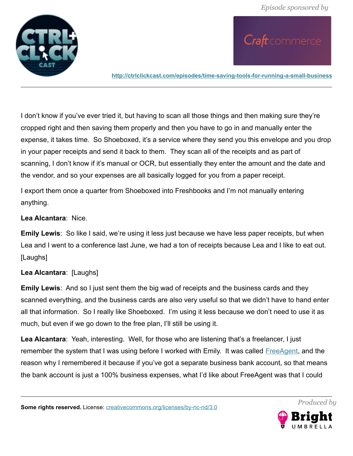

**<http://ctrlclickcast.com/episodes/time-saving-tools-for-running-a-small-business>**

I don't know if you've ever tried it, but having to scan all those things and then making sure they're cropped right and then saving them properly and then you have to go in and manually enter the expense, it takes time. So Shoeboxed, it's a service where they send you this envelope and you drop in your paper receipts and send it back to them. They scan all of the receipts and as part of scanning, I don't know if it's manual or OCR, but essentially they enter the amount and the date and the vendor, and so your expenses are all basically logged for you from a paper receipt.

I export them once a quarter from Shoeboxed into Freshbooks and I'm not manually entering anything.

## **Lea Alcantara**: Nice.

**Emily Lewis**: So like I said, we're using it less just because we have less paper receipts, but when Lea and I went to a conference last June, we had a ton of receipts because Lea and I like to eat out. [Laughs]

# **Lea Alcantara**: [Laughs]

**Emily Lewis**: And so I just sent them the big wad of receipts and the business cards and they scanned everything, and the business cards are also very useful so that we didn't have to hand enter all that information. So I really like Shoeboxed. I'm using it less because we don't need to use it as much, but even if we go down to the free plan, I'll still be using it.

**Lea Alcantara**: Yeah, interesting. Well, for those who are listening that's a freelancer, I just remember the system that I was using before I worked with Emily. It was called [FreeAgent,](http://www.freeagent.com/) and the reason why I remembered it because if you've got a separate business bank account, so that means the bank account is just a 100% business expenses, what I'd like about FreeAgent was that I could

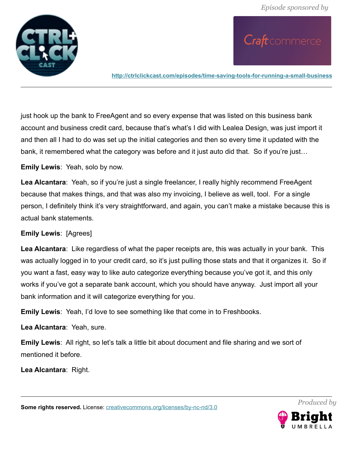

Craft commerce

**<http://ctrlclickcast.com/episodes/time-saving-tools-for-running-a-small-business>**

just hook up the bank to FreeAgent and so every expense that was listed on this business bank account and business credit card, because that's what's I did with Lealea Design, was just import it and then all I had to do was set up the initial categories and then so every time it updated with the bank, it remembered what the category was before and it just auto did that. So if you're just...

**Emily Lewis**: Yeah, solo by now.

**Lea Alcantara**: Yeah, so if you're just a single freelancer, I really highly recommend FreeAgent because that makes things, and that was also my invoicing, I believe as well, tool. For a single person, I definitely think it's very straightforward, and again, you can't make a mistake because this is actual bank statements.

### **Emily Lewis**: [Agrees]

**Lea Alcantara**: Like regardless of what the paper receipts are, this was actually in your bank. This was actually logged in to your credit card, so it's just pulling those stats and that it organizes it. So if you want a fast, easy way to like auto categorize everything because you've got it, and this only works if you've got a separate bank account, which you should have anyway. Just import all your bank information and it will categorize everything for you.

**Emily Lewis**: Yeah, I'd love to see something like that come in to Freshbooks.

**Lea Alcantara**: Yeah, sure.

**Emily Lewis**: All right, so let's talk a little bit about document and file sharing and we sort of mentioned it before.

**Lea Alcantara**: Right.

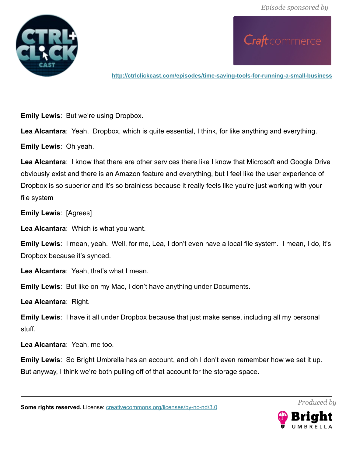

**<http://ctrlclickcast.com/episodes/time-saving-tools-for-running-a-small-business>**

**Emily Lewis**: But we're using Dropbox.

**Lea Alcantara**: Yeah. Dropbox, which is quite essential, I think, for like anything and everything.

**Emily Lewis**: Oh yeah.

**Lea Alcantara**: I know that there are other services there like I know that Microsoft and Google Drive obviously exist and there is an Amazon feature and everything, but I feel like the user experience of Dropbox is so superior and it's so brainless because it really feels like you're just working with your file system

**Emily Lewis**: [Agrees]

**Lea Alcantara**: Which is what you want.

**Emily Lewis**: I mean, yeah. Well, for me, Lea, I don't even have a local file system. I mean, I do, it's Dropbox because it's synced.

**Lea Alcantara**: Yeah, that's what I mean.

**Emily Lewis**: But like on my Mac, I don't have anything under Documents.

**Lea Alcantara**: Right.

**Emily Lewis**: I have it all under Dropbox because that just make sense, including all my personal stuff.

**Lea Alcantara**: Yeah, me too.

**Emily Lewis**: So Bright Umbrella has an account, and oh I don't even remember how we set it up. But anyway, I think we're both pulling off of that account for the storage space.

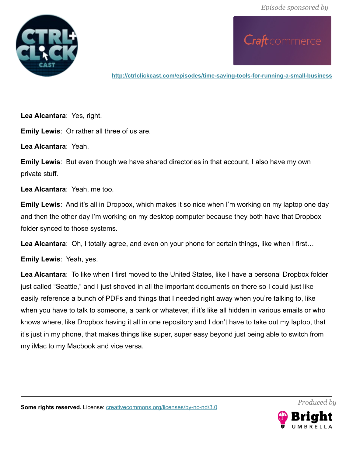

**<http://ctrlclickcast.com/episodes/time-saving-tools-for-running-a-small-business>**

**Lea Alcantara**: Yes, right.

**Emily Lewis**: Or rather all three of us are.

**Lea Alcantara**: Yeah.

**Emily Lewis**: But even though we have shared directories in that account, I also have my own private stuff.

**Lea Alcantara**: Yeah, me too.

**Emily Lewis**: And it's all in Dropbox, which makes it so nice when I'm working on my laptop one day and then the other day I'm working on my desktop computer because they both have that Dropbox folder synced to those systems.

**Lea Alcantara**: Oh, I totally agree, and even on your phone for certain things, like when I first…

**Emily Lewis**: Yeah, yes.

**Lea Alcantara**: To like when I first moved to the United States, like I have a personal Dropbox folder just called "Seattle," and I just shoved in all the important documents on there so I could just like easily reference a bunch of PDFs and things that I needed right away when you're talking to, like when you have to talk to someone, a bank or whatever, if it's like all hidden in various emails or who knows where, like Dropbox having it all in one repository and I don't have to take out my laptop, that it's just in my phone, that makes things like super, super easy beyond just being able to switch from my iMac to my Macbook and vice versa.

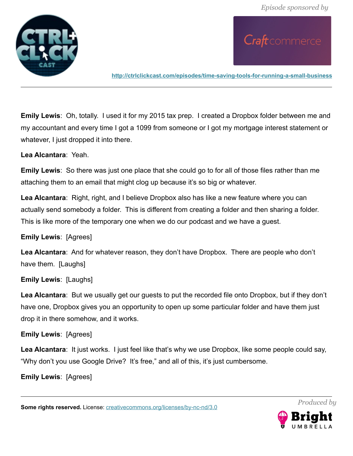

Craft commerce

**<http://ctrlclickcast.com/episodes/time-saving-tools-for-running-a-small-business>**

**Emily Lewis**: Oh, totally. I used it for my 2015 tax prep. I created a Dropbox folder between me and my accountant and every time I got a 1099 from someone or I got my mortgage interest statement or whatever, I just dropped it into there.

**Lea Alcantara**: Yeah.

**Emily Lewis**: So there was just one place that she could go to for all of those files rather than me attaching them to an email that might clog up because it's so big or whatever.

**Lea Alcantara**: Right, right, and I believe Dropbox also has like a new feature where you can actually send somebody a folder. This is different from creating a folder and then sharing a folder. This is like more of the temporary one when we do our podcast and we have a guest.

### **Emily Lewis**: [Agrees]

**Lea Alcantara**: And for whatever reason, they don't have Dropbox. There are people who don't have them. [Laughs]

### **Emily Lewis**: [Laughs]

**Lea Alcantara**: But we usually get our guests to put the recorded file onto Dropbox, but if they don't have one, Dropbox gives you an opportunity to open up some particular folder and have them just drop it in there somehow, and it works.

### **Emily Lewis**: [Agrees]

**Lea Alcantara**: It just works. I just feel like that's why we use Dropbox, like some people could say, "Why don't you use Google Drive? It's free," and all of this, it's just cumbersome.

**Emily Lewis**: [Agrees]

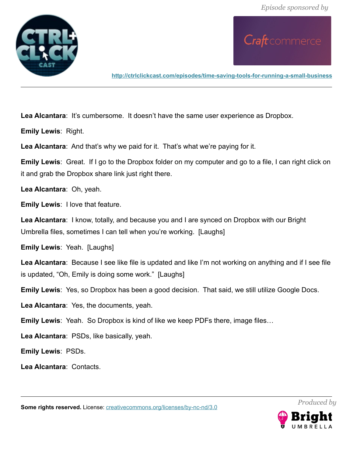

**<http://ctrlclickcast.com/episodes/time-saving-tools-for-running-a-small-business>**

Lea Alcantara: It's cumbersome. It doesn't have the same user experience as Dropbox.

**Emily Lewis**: Right.

**Lea Alcantara**: And that's why we paid for it. That's what we're paying for it.

**Emily Lewis**: Great. If I go to the Dropbox folder on my computer and go to a file, I can right click on it and grab the Dropbox share link just right there.

**Lea Alcantara**: Oh, yeah.

**Emily Lewis**: I love that feature.

**Lea Alcantara**: I know, totally, and because you and I are synced on Dropbox with our Bright Umbrella files, sometimes I can tell when you're working. [Laughs]

**Emily Lewis**: Yeah. [Laughs]

**Lea Alcantara**: Because I see like file is updated and like I'm not working on anything and if I see file is updated, "Oh, Emily is doing some work." [Laughs]

**Emily Lewis**: Yes, so Dropbox has been a good decision. That said, we still utilize Google Docs.

**Lea Alcantara**: Yes, the documents, yeah.

**Emily Lewis**: Yeah. So Dropbox is kind of like we keep PDFs there, image files…

**Lea Alcantara**: PSDs, like basically, yeah.

**Emily Lewis**: PSDs.

**Lea Alcantara**: Contacts.

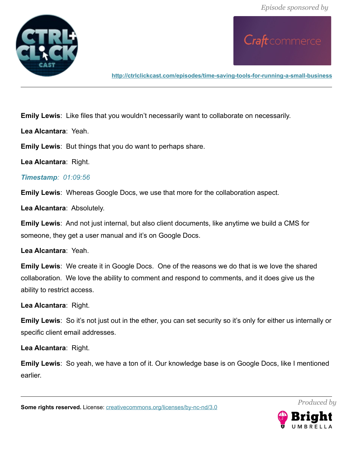

**<http://ctrlclickcast.com/episodes/time-saving-tools-for-running-a-small-business>**

**Emily Lewis**: Like files that you wouldn't necessarily want to collaborate on necessarily.

**Lea Alcantara**: Yeah.

**Emily Lewis**: But things that you do want to perhaps share.

**Lea Alcantara**: Right.

# *Timestamp: 01:09:56*

**Emily Lewis**: Whereas Google Docs, we use that more for the collaboration aspect.

**Lea Alcantara**: Absolutely.

**Emily Lewis**: And not just internal, but also client documents, like anytime we build a CMS for someone, they get a user manual and it's on Google Docs.

**Lea Alcantara**: Yeah.

**Emily Lewis**: We create it in Google Docs. One of the reasons we do that is we love the shared collaboration. We love the ability to comment and respond to comments, and it does give us the ability to restrict access.

**Lea Alcantara**: Right.

**Emily Lewis**: So it's not just out in the ether, you can set security so it's only for either us internally or specific client email addresses.

**Lea Alcantara**: Right.

**Emily Lewis**: So yeah, we have a ton of it. Our knowledge base is on Google Docs, like I mentioned earlier.

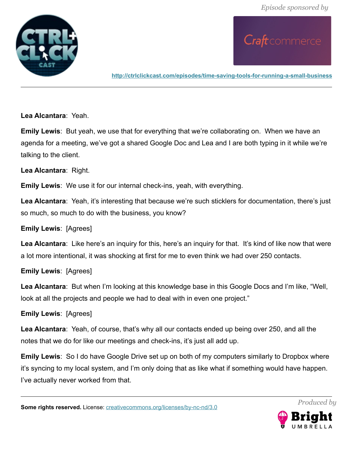

**<http://ctrlclickcast.com/episodes/time-saving-tools-for-running-a-small-business>**

**Lea Alcantara**: Yeah.

**Emily Lewis**: But yeah, we use that for everything that we're collaborating on. When we have an agenda for a meeting, we've got a shared Google Doc and Lea and I are both typing in it while we're talking to the client.

**Lea Alcantara**: Right.

**Emily Lewis**: We use it for our internal check-ins, yeah, with everything.

**Lea Alcantara**: Yeah, it's interesting that because we're such sticklers for documentation, there's just so much, so much to do with the business, you know?

**Emily Lewis**: [Agrees]

Lea Alcantara: Like here's an inquiry for this, here's an inquiry for that. It's kind of like now that were a lot more intentional, it was shocking at first for me to even think we had over 250 contacts.

**Emily Lewis**: [Agrees]

**Lea Alcantara**: But when I'm looking at this knowledge base in this Google Docs and I'm like, "Well, look at all the projects and people we had to deal with in even one project."

**Emily Lewis**: [Agrees]

**Lea Alcantara**: Yeah, of course, that's why all our contacts ended up being over 250, and all the notes that we do for like our meetings and check-ins, it's just all add up.

**Emily Lewis**: So I do have Google Drive set up on both of my computers similarly to Dropbox where it's syncing to my local system, and I'm only doing that as like what if something would have happen. I've actually never worked from that.

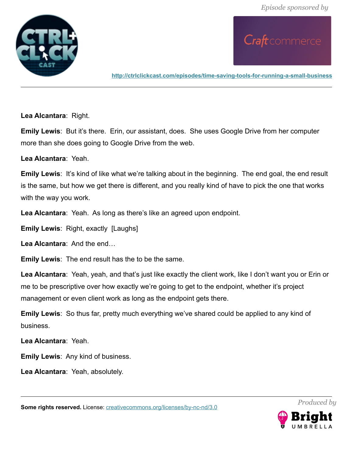

**<http://ctrlclickcast.com/episodes/time-saving-tools-for-running-a-small-business>**

**Lea Alcantara**: Right.

**Emily Lewis:** But it's there. Erin, our assistant, does. She uses Google Drive from her computer more than she does going to Google Drive from the web.

**Lea Alcantara**: Yeah.

**Emily Lewis:** It's kind of like what we're talking about in the beginning. The end goal, the end result is the same, but how we get there is different, and you really kind of have to pick the one that works with the way you work.

**Lea Alcantara**: Yeah. As long as there's like an agreed upon endpoint.

**Emily Lewis**: Right, exactly [Laughs]

**Lea Alcantara**: And the end…

**Emily Lewis**: The end result has the to be the same.

**Lea Alcantara**: Yeah, yeah, and that's just like exactly the client work, like I don't want you or Erin or me to be prescriptive over how exactly we're going to get to the endpoint, whether it's project management or even client work as long as the endpoint gets there.

**Emily Lewis**: So thus far, pretty much everything we've shared could be applied to any kind of business.

**Lea Alcantara**: Yeah.

**Emily Lewis**: Any kind of business.

**Lea Alcantara**: Yeah, absolutely.

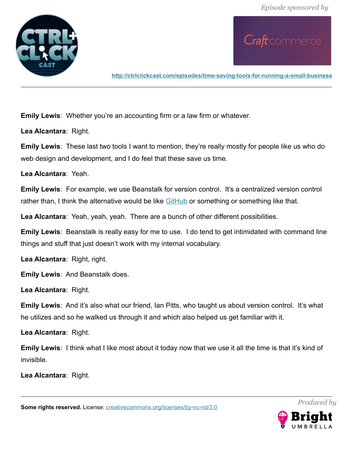

**<http://ctrlclickcast.com/episodes/time-saving-tools-for-running-a-small-business>**

**Emily Lewis**: Whether you're an accounting firm or a law firm or whatever.

**Lea Alcantara**: Right.

**Emily Lewis**: These last two tools I want to mention, they're really mostly for people like us who do web design and development, and I do feel that these save us time.

**Lea Alcantara**: Yeah.

**Emily Lewis**: For example, we use Beanstalk for version control. It's a centralized version control rather than, I think the alternative would be like [GitHub](http://github.com/) or something or something like that.

**Lea Alcantara**: Yeah, yeah, yeah. There are a bunch of other different possibilities.

**Emily Lewis**: Beanstalk is really easy for me to use. I do tend to get intimidated with command line things and stuff that just doesn't work with my internal vocabulary.

**Lea Alcantara**: Right, right.

**Emily Lewis**: And Beanstalk does.

**Lea Alcantara**: Right.

**Emily Lewis**: And it's also what our friend, Ian Pitts, who taught us about version control. It's what he utilizes and so he walked us through it and which also helped us get familiar with it.

**Lea Alcantara**: Right.

**Emily Lewis**: I think what I like most about it today now that we use it all the time is that it's kind of invisible.

**Lea Alcantara**: Right.

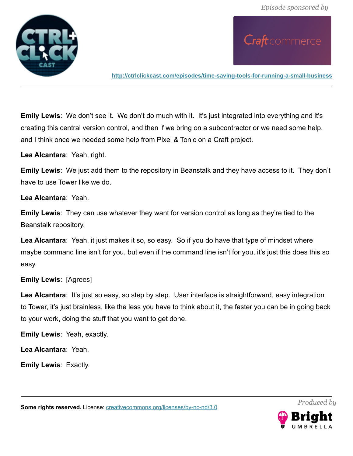

Craft commerce

**<http://ctrlclickcast.com/episodes/time-saving-tools-for-running-a-small-business>**

**Emily Lewis**: We don't see it. We don't do much with it. It's just integrated into everything and it's creating this central version control, and then if we bring on a subcontractor or we need some help, and I think once we needed some help from Pixel & Tonic on a Craft project.

**Lea Alcantara**: Yeah, right.

**Emily Lewis**: We just add them to the repository in Beanstalk and they have access to it. They don't have to use Tower like we do.

**Lea Alcantara**: Yeah.

**Emily Lewis**: They can use whatever they want for version control as long as they're tied to the Beanstalk repository.

**Lea Alcantara**: Yeah, it just makes it so, so easy. So if you do have that type of mindset where maybe command line isn't for you, but even if the command line isn't for you, it's just this does this so easy.

### **Emily Lewis**: [Agrees]

Lea Alcantara: It's just so easy, so step by step. User interface is straightforward, easy integration to Tower, it's just brainless, like the less you have to think about it, the faster you can be in going back to your work, doing the stuff that you want to get done.

**Emily Lewis**: Yeah, exactly.

**Lea Alcantara**: Yeah.

**Emily Lewis**: Exactly.

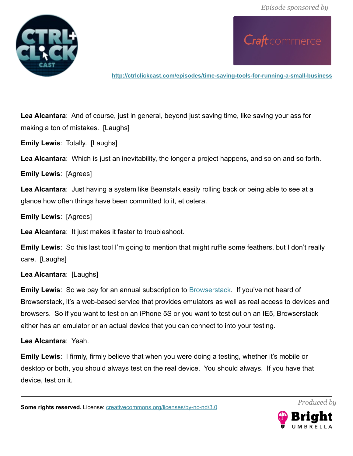

**<http://ctrlclickcast.com/episodes/time-saving-tools-for-running-a-small-business>**

**Lea Alcantara**: And of course, just in general, beyond just saving time, like saving your ass for making a ton of mistakes. [Laughs]

**Emily Lewis**: Totally. [Laughs]

**Lea Alcantara**: Which is just an inevitability, the longer a project happens, and so on and so forth.

**Emily Lewis**: [Agrees]

**Lea Alcantara**: Just having a system like Beanstalk easily rolling back or being able to see at a glance how often things have been committed to it, et cetera.

**Emily Lewis**: [Agrees]

**Lea Alcantara**: It just makes it faster to troubleshoot.

**Emily Lewis**: So this last tool I'm going to mention that might ruffle some feathers, but I don't really care. [Laughs]

**Lea Alcantara**: [Laughs]

**Emily Lewis**: So we pay for an annual subscription to **Browserstack**. If you've not heard of Browserstack, it's a web-based service that provides emulators as well as real access to devices and browsers. So if you want to test on an iPhone 5S or you want to test out on an IE5, Browserstack either has an emulator or an actual device that you can connect to into your testing.

**Lea Alcantara**: Yeah.

**Emily Lewis**: I firmly, firmly believe that when you were doing a testing, whether it's mobile or desktop or both, you should always test on the real device. You should always. If you have that device, test on it.

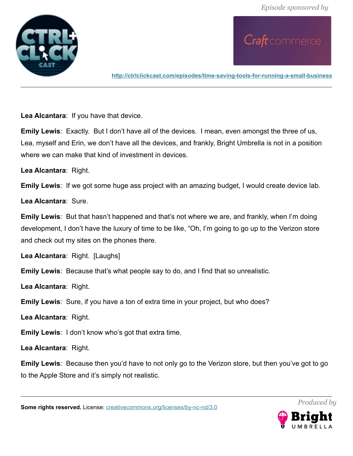

**<http://ctrlclickcast.com/episodes/time-saving-tools-for-running-a-small-business>**

**Lea Alcantara**: If you have that device.

**Emily Lewis**: Exactly. But I don't have all of the devices. I mean, even amongst the three of us, Lea, myself and Erin, we don't have all the devices, and frankly, Bright Umbrella is not in a position where we can make that kind of investment in devices.

**Lea Alcantara**: Right.

**Emily Lewis**: If we got some huge ass project with an amazing budget, I would create device lab.

**Lea Alcantara**: Sure.

**Emily Lewis**: But that hasn't happened and that's not where we are, and frankly, when I'm doing development, I don't have the luxury of time to be like, "Oh, I'm going to go up to the Verizon store and check out my sites on the phones there.

**Lea Alcantara**: Right. [Laughs]

**Emily Lewis**: Because that's what people say to do, and I find that so unrealistic.

**Lea Alcantara**: Right.

**Emily Lewis**: Sure, if you have a ton of extra time in your project, but who does?

**Lea Alcantara**: Right.

**Emily Lewis**: I don't know who's got that extra time.

**Lea Alcantara**: Right.

**Emily Lewis**: Because then you'd have to not only go to the Verizon store, but then you've got to go to the Apple Store and it's simply not realistic.

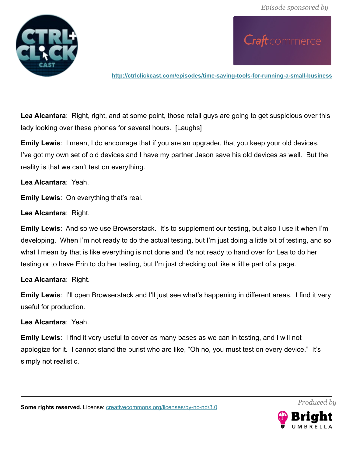Craft commerce



**<http://ctrlclickcast.com/episodes/time-saving-tools-for-running-a-small-business>**

**Lea Alcantara**: Right, right, and at some point, those retail guys are going to get suspicious over this lady looking over these phones for several hours. [Laughs]

**Emily Lewis**: I mean, I do encourage that if you are an upgrader, that you keep your old devices. I've got my own set of old devices and I have my partner Jason save his old devices as well. But the reality is that we can't test on everything.

**Lea Alcantara**: Yeah.

**Emily Lewis**: On everything that's real.

**Lea Alcantara**: Right.

**Emily Lewis**: And so we use Browserstack. It's to supplement our testing, but also I use it when I'm developing. When I'm not ready to do the actual testing, but I'm just doing a little bit of testing, and so what I mean by that is like everything is not done and it's not ready to hand over for Lea to do her testing or to have Erin to do her testing, but I'm just checking out like a little part of a page.

**Lea Alcantara**: Right.

**Emily Lewis**: I'll open Browserstack and I'll just see what's happening in different areas. I find it very useful for production.

**Lea Alcantara**: Yeah.

**Emily Lewis**: I find it very useful to cover as many bases as we can in testing, and I will not apologize for it. I cannot stand the purist who are like, "Oh no, you must test on every device." It's simply not realistic.

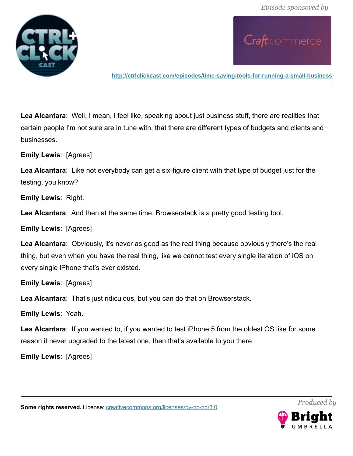

**<http://ctrlclickcast.com/episodes/time-saving-tools-for-running-a-small-business>**

**Lea Alcantara**: Well, I mean, I feel like, speaking about just business stuff, there are realities that certain people I'm not sure are in tune with, that there are different types of budgets and clients and businesses.

**Emily Lewis**: [Agrees]

**Lea Alcantara**: Like not everybody can get a six-figure client with that type of budget just for the testing, you know?

**Emily Lewis**: Right.

**Lea Alcantara**: And then at the same time, Browserstack is a pretty good testing tool.

**Emily Lewis**: [Agrees]

**Lea Alcantara**: Obviously, it's never as good as the real thing because obviously there's the real thing, but even when you have the real thing, like we cannot test every single iteration of iOS on every single iPhone that's ever existed.

**Emily Lewis**: [Agrees]

**Lea Alcantara**: That's just ridiculous, but you can do that on Browserstack.

**Emily Lewis**: Yeah.

**Lea Alcantara**: If you wanted to, if you wanted to test iPhone 5 from the oldest OS like for some reason it never upgraded to the latest one, then that's available to you there.

**Emily Lewis**: [Agrees]



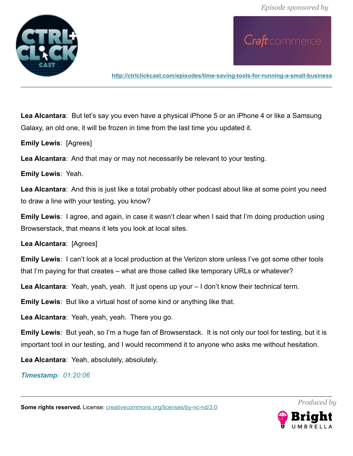

**<http://ctrlclickcast.com/episodes/time-saving-tools-for-running-a-small-business>**

**Lea Alcantara**: But let's say you even have a physical iPhone 5 or an iPhone 4 or like a Samsung Galaxy, an old one, it will be frozen in time from the last time you updated it.

**Emily Lewis**: [Agrees]

**Lea Alcantara**: And that may or may not necessarily be relevant to your testing.

**Emily Lewis**: Yeah.

**Lea Alcantara**: And this is just like a total probably other podcast about like at some point you need to draw a line with your testing, you know?

**Emily Lewis**: I agree, and again, in case it wasn't clear when I said that I'm doing production using Browserstack, that means it lets you look at local sites.

**Lea Alcantara**: [Agrees]

**Emily Lewis**: I can't look at a local production at the Verizon store unless I've got some other tools that I'm paying for that creates – what are those called like temporary URLs or whatever?

**Lea Alcantara**: Yeah, yeah, yeah. It just opens up your – I don't know their technical term.

**Emily Lewis**: But like a virtual host of some kind or anything like that.

**Lea Alcantara**: Yeah, yeah, yeah. There you go.

**Emily Lewis**: But yeah, so I'm a huge fan of Browserstack. It is not only our tool for testing, but it is important tool in our testing, and I would recommend it to anyone who asks me without hesitation.

**Lea Alcantara**: Yeah, absolutely, absolutely.

*Timestamp: 01:20:06*

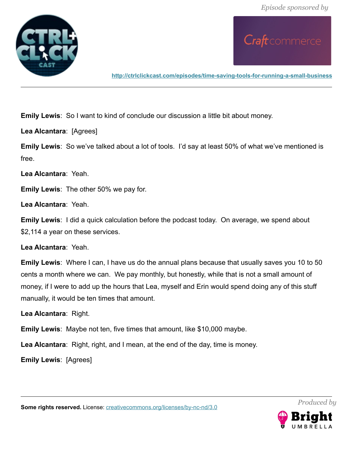

**<http://ctrlclickcast.com/episodes/time-saving-tools-for-running-a-small-business>**

**Emily Lewis**: So I want to kind of conclude our discussion a little bit about money.

**Lea Alcantara**: [Agrees]

**Emily Lewis**: So we've talked about a lot of tools. I'd say at least 50% of what we've mentioned is free.

**Lea Alcantara**: Yeah.

**Emily Lewis**: The other 50% we pay for.

**Lea Alcantara**: Yeah.

**Emily Lewis**: I did a quick calculation before the podcast today. On average, we spend about \$2,114 a year on these services.

**Lea Alcantara**: Yeah.

**Emily Lewis**: Where I can, I have us do the annual plans because that usually saves you 10 to 50 cents a month where we can. We pay monthly, but honestly, while that is not a small amount of money, if I were to add up the hours that Lea, myself and Erin would spend doing any of this stuff manually, it would be ten times that amount.

**Lea Alcantara**: Right.

**Emily Lewis**: Maybe not ten, five times that amount, like \$10,000 maybe.

**Lea Alcantara**: Right, right, and I mean, at the end of the day, time is money.

**Emily Lewis**: [Agrees]

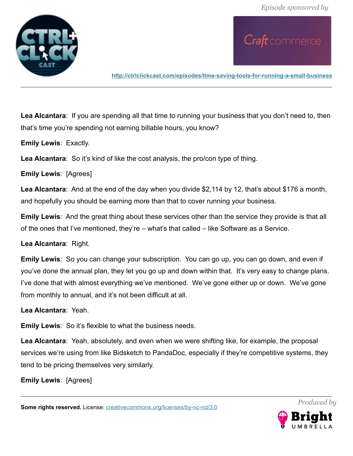

Craft commerce

**<http://ctrlclickcast.com/episodes/time-saving-tools-for-running-a-small-business>**

**Lea Alcantara**: If you are spending all that time to running your business that you don't need to, then that's time you're spending not earning billable hours, you know?

**Emily Lewis**: Exactly.

**Lea Alcantara**: So it's kind of like the cost analysis, the pro/con type of thing.

**Emily Lewis**: [Agrees]

**Lea Alcantara**: And at the end of the day when you divide \$2,114 by 12, that's about \$176 a month, and hopefully you should be earning more than that to cover running your business.

**Emily Lewis**: And the great thing about these services other than the service they provide is that all of the ones that I've mentioned, they're – what's that called – like Software as a Service.

**Lea Alcantara**: Right.

**Emily Lewis**: So you can change your subscription. You can go up, you can go down, and even if you've done the annual plan, they let you go up and down within that. It's very easy to change plans. I've done that with almost everything we've mentioned. We've gone either up or down. We've gone from monthly to annual, and it's not been difficult at all.

**Lea Alcantara**: Yeah.

**Emily Lewis**: So it's flexible to what the business needs.

**Lea Alcantara**: Yeah, absolutely, and even when we were shifting like, for example, the proposal services we're using from like Bidsketch to PandaDoc, especially if they're competitive systems, they tend to be pricing themselves very similarly.

**Emily Lewis**: [Agrees]

**Some rights reserved.** License: *creativecommons.org/licenses/by-nc-nd/3.0* 



*Produced by*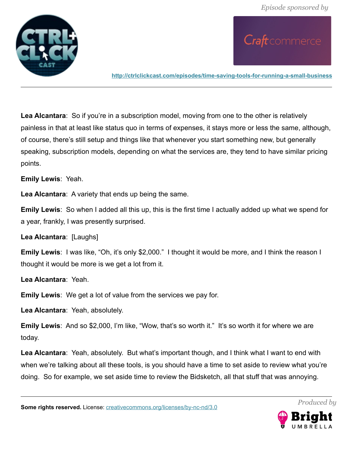

Craft commerce

**<http://ctrlclickcast.com/episodes/time-saving-tools-for-running-a-small-business>**

**Lea Alcantara**: So if you're in a subscription model, moving from one to the other is relatively painless in that at least like status quo in terms of expenses, it stays more or less the same, although, of course, there's still setup and things like that whenever you start something new, but generally speaking, subscription models, depending on what the services are, they tend to have similar pricing points.

**Emily Lewis**: Yeah.

**Lea Alcantara**: A variety that ends up being the same.

**Emily Lewis**: So when I added all this up, this is the first time I actually added up what we spend for a year, frankly, I was presently surprised.

**Lea Alcantara**: [Laughs]

**Emily Lewis**: I was like, "Oh, it's only \$2,000." I thought it would be more, and I think the reason I thought it would be more is we get a lot from it.

**Lea Alcantara**: Yeah.

**Emily Lewis**: We get a lot of value from the services we pay for.

**Lea Alcantara**: Yeah, absolutely.

**Emily Lewis**: And so \$2,000, I'm like, "Wow, that's so worth it." It's so worth it for where we are today.

**Lea Alcantara**: Yeah, absolutely. But what's important though, and I think what I want to end with when we're talking about all these tools, is you should have a time to set aside to review what you're doing. So for example, we set aside time to review the Bidsketch, all that stuff that was annoying.

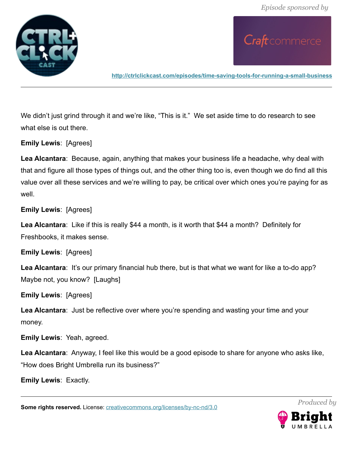

**<http://ctrlclickcast.com/episodes/time-saving-tools-for-running-a-small-business>**

We didn't just grind through it and we're like, "This is it." We set aside time to do research to see what else is out there.

**Emily Lewis**: [Agrees]

**Lea Alcantara**: Because, again, anything that makes your business life a headache, why deal with that and figure all those types of things out, and the other thing too is, even though we do find all this value over all these services and we're willing to pay, be critical over which ones you're paying for as well

**Emily Lewis**: [Agrees]

**Lea Alcantara**: Like if this is really \$44 a month, is it worth that \$44 a month? Definitely for Freshbooks, it makes sense.

**Emily Lewis**: [Agrees]

Lea Alcantara: It's our primary financial hub there, but is that what we want for like a to-do app? Maybe not, you know? [Laughs]

**Emily Lewis**: [Agrees]

**Lea Alcantara**: Just be reflective over where you're spending and wasting your time and your money.

**Emily Lewis**: Yeah, agreed.

**Lea Alcantara**: Anyway, I feel like this would be a good episode to share for anyone who asks like, "How does Bright Umbrella run its business?"

**Emily Lewis**: Exactly.

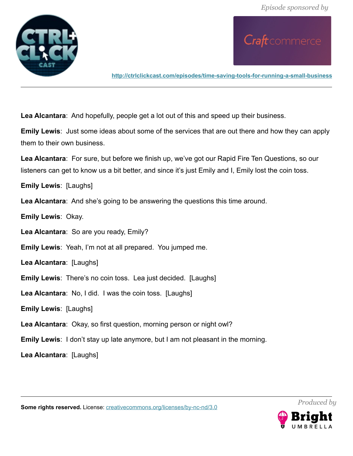

**<http://ctrlclickcast.com/episodes/time-saving-tools-for-running-a-small-business>**

**Lea Alcantara**: And hopefully, people get a lot out of this and speed up their business.

**Emily Lewis**: Just some ideas about some of the services that are out there and how they can apply them to their own business.

**Lea Alcantara**: For sure, but before we finish up, we've got our Rapid Fire Ten Questions, so our listeners can get to know us a bit better, and since it's just Emily and I, Emily lost the coin toss.

**Emily Lewis**: [Laughs]

**Lea Alcantara**: And she's going to be answering the questions this time around.

**Emily Lewis**: Okay.

**Lea Alcantara**: So are you ready, Emily?

**Emily Lewis**: Yeah, I'm not at all prepared. You jumped me.

**Lea Alcantara**: [Laughs]

**Emily Lewis**: There's no coin toss. Lea just decided. [Laughs]

**Lea Alcantara**: No, I did. I was the coin toss. [Laughs]

**Emily Lewis**: [Laughs]

**Lea Alcantara**: Okay, so first question, morning person or night owl?

**Emily Lewis**: I don't stay up late anymore, but I am not pleasant in the morning.

**Lea Alcantara**: [Laughs]

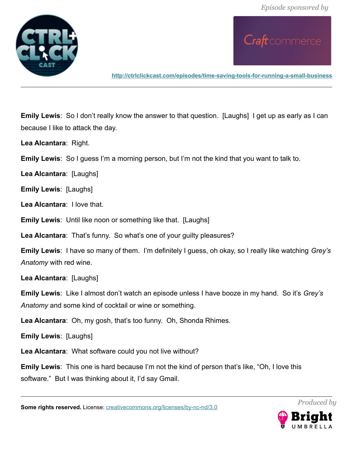

**<http://ctrlclickcast.com/episodes/time-saving-tools-for-running-a-small-business>**

**Emily Lewis**: So I don't really know the answer to that question. [Laughs] I get up as early as I can because I like to attack the day.

**Lea Alcantara**: Right.

**Emily Lewis**: So I guess I'm a morning person, but I'm not the kind that you want to talk to.

**Lea Alcantara**: [Laughs]

**Emily Lewis**: [Laughs]

**Lea Alcantara**: I love that.

**Emily Lewis**: Until like noon or something like that. [Laughs]

**Lea Alcantara**: That's funny. So what's one of your guilty pleasures?

**Emily Lewis**: I have so many of them. I'm definitely I guess, oh okay, so I really like watching *Grey's Anatomy* with red wine.

**Lea Alcantara**: [Laughs]

**Emily Lewis**: Like I almost don't watch an episode unless I have booze in my hand. So it's *Grey's Anatomy* and some kind of cocktail or wine or something.

**Lea Alcantara**: Oh, my gosh, that's too funny. Oh, Shonda Rhimes.

**Emily Lewis**: [Laughs]

**Lea Alcantara**: What software could you not live without?

**Emily Lewis**: This one is hard because I'm not the kind of person that's like, "Oh, I love this software." But I was thinking about it, I'd say Gmail.

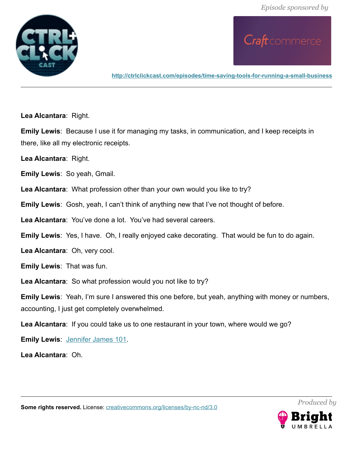

**<http://ctrlclickcast.com/episodes/time-saving-tools-for-running-a-small-business>**

**Lea Alcantara**: Right.

**Emily Lewis**: Because I use it for managing my tasks, in communication, and I keep receipts in there, like all my electronic receipts.

**Lea Alcantara**: Right.

**Emily Lewis**: So yeah, Gmail.

**Lea Alcantara**: What profession other than your own would you like to try?

**Emily Lewis**: Gosh, yeah, I can't think of anything new that I've not thought of before.

**Lea Alcantara**: You've done a lot. You've had several careers.

**Emily Lewis**: Yes, I have. Oh, I really enjoyed cake decorating. That would be fun to do again.

**Lea Alcantara**: Oh, very cool.

**Emily Lewis**: That was fun.

**Lea Alcantara**: So what profession would you not like to try?

**Emily Lewis**: Yeah, I'm sure I answered this one before, but yeah, anything with money or numbers, accounting, I just get completely overwhelmed.

**Lea Alcantara**: If you could take us to one restaurant in your town, where would we go?

**Emily Lewis**: [Jennifer James 101.](http://jenniferjames101.com/)

**Lea Alcantara**: Oh.

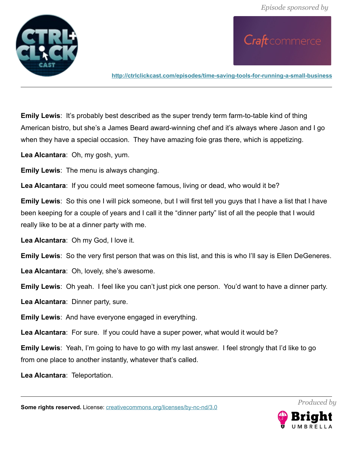

**<http://ctrlclickcast.com/episodes/time-saving-tools-for-running-a-small-business>**

**Emily Lewis:** It's probably best described as the super trendy term farm-to-table kind of thing American bistro, but she's a James Beard award-winning chef and it's always where Jason and I go when they have a special occasion. They have amazing foie gras there, which is appetizing.

**Lea Alcantara**: Oh, my gosh, yum.

**Emily Lewis**: The menu is always changing.

**Lea Alcantara**: If you could meet someone famous, living or dead, who would it be?

**Emily Lewis**: So this one I will pick someone, but I will first tell you guys that I have a list that I have been keeping for a couple of years and I call it the "dinner party" list of all the people that I would really like to be at a dinner party with me.

**Lea Alcantara**: Oh my God, I love it.

**Emily Lewis**: So the very first person that was on this list, and this is who I'll say is Ellen DeGeneres.

**Lea Alcantara**: Oh, lovely, she's awesome.

**Emily Lewis**: Oh yeah. I feel like you can't just pick one person. You'd want to have a dinner party.

**Lea Alcantara**: Dinner party, sure.

**Emily Lewis**: And have everyone engaged in everything.

**Lea Alcantara**: For sure. If you could have a super power, what would it would be?

**Emily Lewis**: Yeah, I'm going to have to go with my last answer. I feel strongly that I'd like to go from one place to another instantly, whatever that's called.

**Lea Alcantara**: Teleportation.

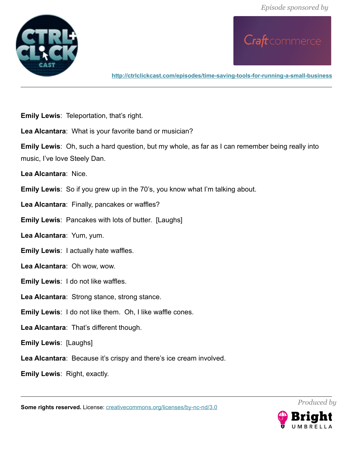

**<http://ctrlclickcast.com/episodes/time-saving-tools-for-running-a-small-business>**

**Emily Lewis**: Teleportation, that's right.

**Lea Alcantara**: What is your favorite band or musician?

**Emily Lewis**: Oh, such a hard question, but my whole, as far as I can remember being really into music, I've love Steely Dan.

**Lea Alcantara**: Nice.

**Emily Lewis**: So if you grew up in the 70's, you know what I'm talking about.

**Lea Alcantara**: Finally, pancakes or waffles?

**Emily Lewis**: Pancakes with lots of butter. [Laughs]

**Lea Alcantara**: Yum, yum.

**Emily Lewis**: I actually hate waffles.

**Lea Alcantara**: Oh wow, wow.

**Emily Lewis**: I do not like waffles.

**Lea Alcantara**: Strong stance, strong stance.

**Emily Lewis**: I do not like them. Oh, I like waffle cones.

**Lea Alcantara**: That's different though.

**Emily Lewis**: [Laughs]

**Lea Alcantara**: Because it's crispy and there's ice cream involved.

**Emily Lewis**: Right, exactly.

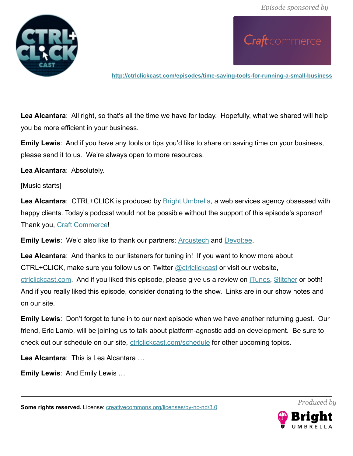*Episode sponsored by*



Craft commerce

**<http://ctrlclickcast.com/episodes/time-saving-tools-for-running-a-small-business>**

**Lea Alcantara**: All right, so that's all the time we have for today. Hopefully, what we shared will help you be more efficient in your business.

**Emily Lewis**: And if you have any tools or tips you'd like to share on saving time on your business, please send it to us. We're always open to more resources.

**Lea Alcantara**: Absolutely.

[Music starts]

Lea Alcantara: CTRL+CLICK is produced by **Bright Umbrella**, a web services agency obsessed with happy clients. Today's podcast would not be possible without the support of this episode's sponsor! Thank you, [Craft Commerce!](https://craftcommerce.com/)

**Emily Lewis**: We'd also like to thank our partners: **Arcustech and Devotiee**.

**Lea Alcantara**: And thanks to our listeners for tuning in! If you want to know more about CTRL+CLICK, make sure you follow us on Twitter @ctriclickcast or visit our website, [ctrlclickcast.com.](http://ctrlclickcast.com/) And if you liked this episode, please give us a review on [iTunes,](https://itunes.apple.com/us/podcast/ctrl+click-cast/id446900959) [Stitcher](http://www.stitcher.com/s?fid=49341&refid=stpr) or both! And if you really liked this episode, consider donating to the show. Links are in our show notes and on our site.

**Emily Lewis**: Don't forget to tune in to our next episode when we have another returning guest. Our friend, Eric Lamb, will be joining us to talk about platform-agnostic add-on development. Be sure to check out our schedule on our site, [ctrlclickcast.com/schedule](http://ctrlclickcast.com/schedule) for other upcoming topics.

**Lea Alcantara**: This is Lea Alcantara …

**Emily Lewis**: And Emily Lewis …